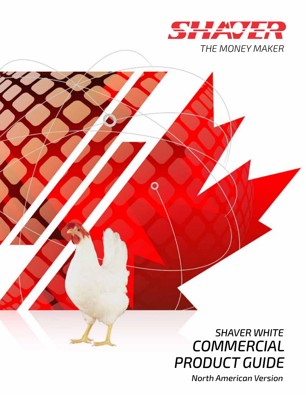

# *COMMERCIAL PRODUCT GUIDE SHAVER WHITE*

*North American Version*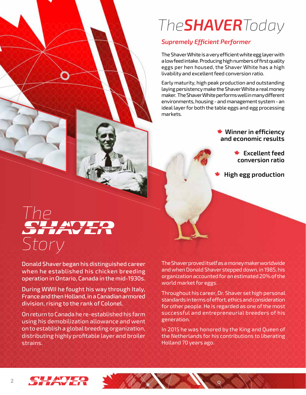# *TheSHAVERToday*

## *Supremely Efficient Performer*

The Shaver White is a very efficient white egg layer with a low feed intake. Producing high numbers of first quality eggs per hen housed, the Shaver White has a high livability and excellent feed conversion ratio.

Early maturity, high peak production and outstanding laying persistency make the Shaver White a real money maker. The Shaver White performs well in many different environments, housing - and management system - an ideal layer for both the table eggs and egg processing markets.

> **Winner in efficiency and economic results**

> > **Excellent feed conversion ratio**

 **High egg production**

# *The Story*

Donald Shaver began his distinguished career when he established his chicken breeding operation in Ontario, Canada in the mid-1930s.

During WWII he fought his way through Italy, France and then Holland, in a Canadian armored division, rising to the rank of Colonel.

On return to Canada he re-established his farm using his demobilization allowance and went on to establish a global breeding organization, distributing highly profitable layer and broiler strains.

**ARANDA** 

The Shaver proved itself as a money maker worldwide and when Donald Shaver stepped down, in 1985, his organization accounted for an estimated 20% of the world market for eggs.

Throughout his career, Dr. Shaver set high personal standards in terms of effort, ethics and consideration for other people. He is regarded as one of the most successful and entrepreneurial breeders of his generation.

In 2015 he was honored by the King and Queen of the Netherlands for his contributions to liberating Holland 70 years ago.

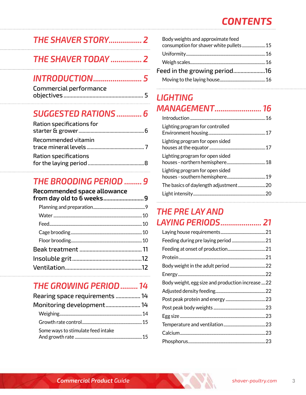# *CONTENTS*

# *THE SHAVER STORY.................2*

# *THE SHAVER TODAY ................2*

# *INTRODUCTION......................... 5*

| Commercial performance |  |
|------------------------|--|
|                        |  |

# *SUGGESTED RATIONS .............6*

| Ration specifications for    |  |
|------------------------------|--|
| Recommended vitamin          |  |
| <b>Ration specifications</b> |  |

# *THE BROODING PERIOD .........9*

| Recommended space allowance |  |  |  |
|-----------------------------|--|--|--|
|                             |  |  |  |
|                             |  |  |  |
|                             |  |  |  |
|                             |  |  |  |
|                             |  |  |  |
|                             |  |  |  |
|                             |  |  |  |
|                             |  |  |  |

# *THE GROWING PERIOD......... 14*

| Rearing space requirements  14     |  |
|------------------------------------|--|
| Monitoring development 14          |  |
|                                    |  |
|                                    |  |
| Some ways to stimulate feed intake |  |
|                                    |  |

| Body weights and approximate feed |    |
|-----------------------------------|----|
|                                   |    |
|                                   | 16 |
|                                   |    |
| Feed in the growing period16      |    |
|                                   |    |
|                                   |    |

# *LIGHTING MANAGEMENT........................ 16*

| Lighting program for controlled |
|---------------------------------|
| Lighting program for open sided |
| Lighting program for open sided |
| Lighting program for open sided |
|                                 |
|                                 |
|                                 |

# *THE PRE LAY AND LAYING PERIODS..................... 21*

| Body weight, egg size and production increase  22 |  |
|---------------------------------------------------|--|
|                                                   |  |
|                                                   |  |
|                                                   |  |
|                                                   |  |
|                                                   |  |
|                                                   |  |
|                                                   |  |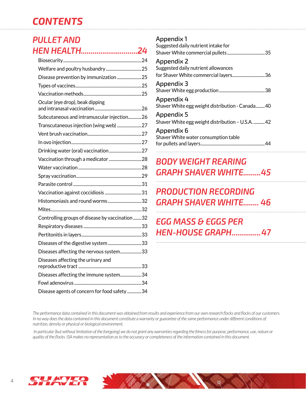# *CONTENTS*

# *PULLET AND HEN HEALTH.............................24*

| Disease prevention by immunization 25           |
|-------------------------------------------------|
|                                                 |
|                                                 |
| Ocular (eye drop), beak dipping                 |
| Subcutaneous and intramuscular injection26      |
| Transcutaneous injection (wing web) 27          |
|                                                 |
|                                                 |
|                                                 |
|                                                 |
|                                                 |
|                                                 |
|                                                 |
|                                                 |
| Histomoniasis and round worms32                 |
|                                                 |
| Controlling groups of disease by vaccination 32 |
|                                                 |
|                                                 |
| Diseases of the digestive system33              |
| Diseases affecting the nervous system33         |
| Diseases affecting the urinary and              |
| Diseases affecting the immune system34          |
|                                                 |
| Disease agents of concern for food safety 34    |

## Appendix 1

| Suggested daily nutrient intake for                                                       |
|-------------------------------------------------------------------------------------------|
| Appendix 2<br>Suggested daily nutrient allowances<br>for Shaver White commercial layers36 |
| Appendix 3                                                                                |
| Appendix 4<br>Shaver White egg weight distribution - Canada40                             |
| Appendix 5<br>Shaver White egg weight distribution - U.S.A. 42                            |
| Appendix б<br>Shaver White water consumption table                                        |
|                                                                                           |

# *BODY WEIGHT REARING GRAPH SHAVER WHITE.........45*

# *PRODUCTION RECORDING GRAPH SHAVER WHITE........ 46*

# *EGG MASS & EGGS PER HEN-HOUSE GRAPH...............47*

*The performance data contained in this document was obtained from results and experience from our own research flocks and flocks of our customers.*  In no way does the data contained in this document constitute a warranty or guarantee of the same performance under different conditions of *nutrition, density or physical or biological environment.*

 *In particular (but without limitation of the foregoing) we do not grant any warranties regarding the fitness for purpose, performance, use, nature or quality of the flocks. ISA makes no representation as to the accuracy or completeness of the information contained in this document.*



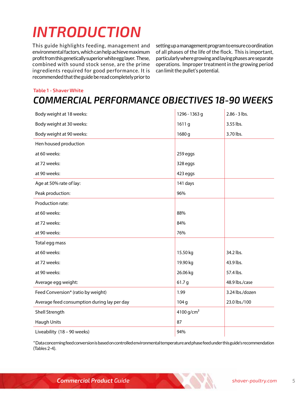# *INTRODUCTION*

This guide highlights feeding, management and environmental factors, which can help achieve maximum profit from this genetically superior white egg layer. These, combined with sound stock sense, are the prime ingredients required for good performance. It is recommended that the guide be read completely prior to

setting up a management program to ensure co ordination of all phases of the life of the flock. This is important, particularly where growing and laying phases are separate operations. Improper treatment in the growing period can limit the pullet's potential.

#### **Table 1 - Shaver White**

# *COMMERCIAL PERFORMANCE OBJECTIVES 18-90 WEEKS*

| Body weight at 18 weeks:                    | 1296 - 1363 g          | $2.86 - 3$ lbs. |
|---------------------------------------------|------------------------|-----------------|
| Body weight at 30 weeks:                    | 1611 g                 | 3.55 lbs.       |
| Body weight at 90 weeks:                    | 1680 g                 | 3.70 lbs.       |
| Hen housed production                       |                        |                 |
| at 60 weeks:                                | 259 eggs               |                 |
| at 72 weeks:                                | 328 eggs               |                 |
| at 90 weeks:                                | 423 eggs               |                 |
| Age at 50% rate of lay:                     | 141 days               |                 |
| Peak production:                            | 96%                    |                 |
| Production rate:                            |                        |                 |
| at 60 weeks:                                | 88%                    |                 |
| at 72 weeks:                                | 84%                    |                 |
| at 90 weeks:                                | 76%                    |                 |
| Total egg mass                              |                        |                 |
| at 60 weeks:                                | 15.50 kg               | 34.2 lbs.       |
| at 72 weeks:                                | 19.90 kg               | 43.9 lbs.       |
| at 90 weeks:                                | 26.06 kg               | 57.4 lbs.       |
| Average egg weight:                         | 61.7g                  | 48.9 lbs./case  |
| Feed Conversion* (ratio by weight)          | 1.99                   | 3.24 lbs./dozen |
| Average feed consumption during lay per day | 104 g                  | 23.0 lbs./100   |
| Shell Strength                              | 4100 g/cm <sup>2</sup> |                 |
| Haugh Units                                 | 87                     |                 |
| Liveability (18 - 90 weeks)                 | 94%                    |                 |

\* Data concerning feed conversion is based on controlled environmental temperature and phase feed under this guide's recommendation (Tables 2-4).

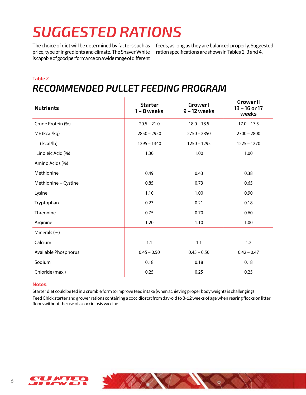# *SUGGESTED RATIONS*

The choice of diet will be determined by factors such as feeds, as long as they are balanced properly. Suggested price, type of ingredients and climate. The Shaver White is capable of good performance on a wide range of different

ration specifications are shown in Tables 2, 3 and 4.

# **Table 2** *RECOMMENDED PULLET FEEDING PROGRAM*

| <b>Nutrients</b>     | <b>Starter</b><br>$1 - 8$ weeks | Grower I<br>9 - 12 weeks | <b>Grower II</b><br>13 - 16 or 17<br>weeks |
|----------------------|---------------------------------|--------------------------|--------------------------------------------|
| Crude Protein (%)    | $20.5 - 21.0$                   | $18.0 - 18.5$            | $17.0 - 17.5$                              |
| ME (kcal/kg)         | $2850 - 2950$                   | $2750 - 2850$            | $2700 - 2800$                              |
| (kcal/lb)            | $1295 - 1340$                   | $1250 - 1295$            | $1225 - 1270$                              |
| Linoleic Acid (%)    | 1.30                            | 1.00                     | 1.00                                       |
| Amino Acids (%)      |                                 |                          |                                            |
| Methionine           | 0.49                            | 0.43                     | 0.38                                       |
| Methionine + Cystine | 0.85                            | 0.73                     | 0.65                                       |
| Lysine               | 1.10                            | 1.00                     | 0.90                                       |
| Tryptophan           | 0.23                            | 0.21                     | 0.18                                       |
| Threonine            | 0.75                            | 0.70                     | 0.60                                       |
| Arginine             | 1.20                            | 1.10                     | 1.00                                       |
| Minerals (%)         |                                 |                          |                                            |
| Calcium              | 1.1                             | 1.1                      | 1.2                                        |
| Available Phosphorus | $0.45 - 0.50$                   | $0.45 - 0.50$            | $0.42 - 0.47$                              |
| Sodium               | 0.18                            | 0.18                     | 0.18                                       |
| Chloride (max.)      | 0.25                            | 0.25                     | 0.25                                       |

#### **Notes:**

Starter diet could be fed in a crumble form to improve feed intake (when achieving proper body weights is challenging)

Feed Chick starter and grower rations containing a coccidiostat from day-old to 8-12 weeks of age when rearing flocks on litter floors without the use of a coccidiosis vaccine.



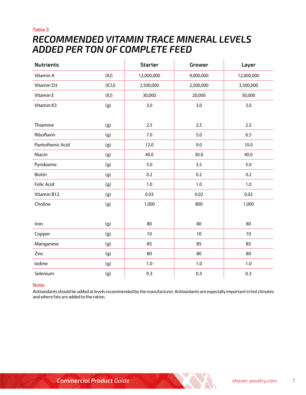#### **Table 3**

# *RECOMMENDED VITAMIN TRACE MINERAL LEVELS ADDED PER TON OF COMPLETE FEED*

| <b>Nutrients</b>  |       | <b>Starter</b> | Grower    | Layer      |
|-------------------|-------|----------------|-----------|------------|
| Vitamin A         | (IU)  | 12,000,000     | 9,000,000 | 12,000,000 |
| Vitamin D3        | (ICU) | 2,500,000      | 2,500,000 | 3,500,000  |
| Vitamin E         | (IU)  | 30,000         | 20,000    | 30,000     |
| Vitamin K3        | (g)   | 3.0            | 3.0       | 3.0        |
|                   |       |                |           |            |
| Thiamine          | (g)   | 2.5            | 2.5       | 2.5        |
| Riboflavin        | (g)   | 7.0            | 5.0       | 6.5        |
| Pantothenic Acid  | (g)   | 12.0           | 9.0       | 10.0       |
| Niacin            | (g)   | 40.0           | 30.0      | 40.0       |
| Pyridoxine        | (g)   | 5.0            | 3.5       | 5.0        |
| Biotin            | (g)   | 0.2            | 0.2       | 0.2        |
| <b>Folic Acid</b> | (g)   | 1.0            | 1.0       | 1.0        |
| Vitamin B12       | (g)   | 0.03           | 0.02      | 0.02       |
| Choline           | (g)   | 1,000          | 800       | 1,000      |
|                   |       |                |           |            |
| Iron              | (g)   | 80             | 80        | 80         |
| Copper            | (g)   | 10             | 10        | 10         |
| Manganese         | (g)   | 85             | 85        | 85         |
| Zinc              | (g)   | 80             | 80        | 80         |
| lodine            | (g)   | 1.0            | 1.0       | 1.0        |
| Selenium          | (g)   | 0.3            | 0.3       | 0.3        |

#### **Note:**

Antioxidants should be added at levels recommended by the manufacturer. Antioxidants are especially important in hot climates and where fats are added to the ration.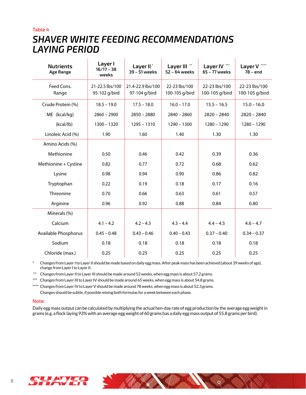#### **Table 4**

# *SHAVER WHITE FEEDING RECOMMENDATIONS LAYING PERIOD*

| <b>Nutrients</b><br><b>Age Range</b> | Layer I<br>$16/17 - 38$<br>weeks | Layer II <sup>*</sup><br>39 - 51 weeks | Layer III <sup>**</sup><br>52 - 64 weeks | Layer IV ***<br>65 - 77 weeks   | Layer V<br>78 - end             |
|--------------------------------------|----------------------------------|----------------------------------------|------------------------------------------|---------------------------------|---------------------------------|
| Feed Cons.<br>Range                  | 21-22.5 lbs/100<br>95-102 g/bird | 21.4-22.9 lbs/100<br>97-104 g/bird     | 22-23 lbs/100<br>100-105 g/bird          | 22-23 lbs/100<br>100-105 g/bird | 22-23 lbs/100<br>100-105 g/bird |
| Crude Protein (%)                    | $18.5 - 19.0$                    | $17.5 - 18.0$                          | $16.0 - 17.0$                            | $15.5 - 16.5$                   | $15.0 - 16.0$                   |
| ME (kcal/kg)                         | $2860 - 2900$                    | $2850 - 2880$                          | $2840 - 2860$                            | $2820 - 2840$                   | $2820 - 2840$                   |
| $(kcal/$ Ib)                         | $1300 - 1320$                    | $1295 - 1310$                          | $1290 - 1300$                            | $1280 - 1290$                   | $1280 - 1290$                   |
| Linoleic Acid (%)                    | 1.90                             | 1.60                                   | 1.40                                     | 1.30                            | 1.30                            |
| Amino Acids (%)                      |                                  |                                        |                                          |                                 |                                 |
| Methionine                           | 0.50                             | 0.46                                   | 0.42                                     | 0.39                            | 0.36                            |
| Methionine + Cystine                 | 0.82                             | 0.77                                   | 0.72                                     | 0.68                            | 0.62                            |
| Lysine                               | 0.98                             | 0.94                                   | 0.90                                     | 0.86                            | 0.82                            |
| Tryptophan                           | 0.22                             | 0.19                                   | 0.18                                     | 0.17                            | 0.16                            |
| Threonine                            | 0.70                             | 0.66                                   | 0.63                                     | 0.61                            | 0.57                            |
| Arginine                             | 0.96                             | 0.92                                   | 0.88                                     | 0.84                            | 0.80                            |
| Minerals (%)                         |                                  |                                        |                                          |                                 |                                 |
| Calcium                              | $4.1 - 4.2$                      | $4.2 - 4.3$                            | $4.3 - 4.4$                              | $4.4 - 4.5$                     | $4.6 - 4.7$                     |
| Available Phosphorus                 | $0.45 - 0.48$                    | $0.43 - 0.46$                          | $0.40 - 0.43$                            | $0.37 - 0.40$                   | $0.34 - 0.37$                   |
| Sodium                               | 0.18                             | 0.18                                   | 0.18                                     | 0.18                            | 0.18                            |
| Chloride (max.)                      | 0.25                             | 0.25                                   | 0.25                                     | 0.25                            | 0.25                            |

\* Changes from Layer I to Layer II should be made based on daily egg mass. After peak mass has been achieved (about 39 weeks of age), change from Layer I to Layer II.

\*\* Changes from Layer II to Layer III should be made around 52 weeks, when egg mass is about 57.2 grams.

\*\*\* Changes from Layer III to Layer IV should be made around 65 weeks, when egg mass is about 54.8 grams.

\*\*\*\* Changes from Layer IV to Layer V should be made around 78 weeks, when egg mass is about 52.3 grams. Changes should be subtle, if possible mixing both formulas for a week between each phase.

#### **Note:**

Daily egg mass output can be calculated by multiplying the actual hen-day rate of egg production by the average egg weight in grams (e.g. a flock laying 93% with an average egg weight of 60 grams has a daily egg mass output of 55.8 grams per bird).



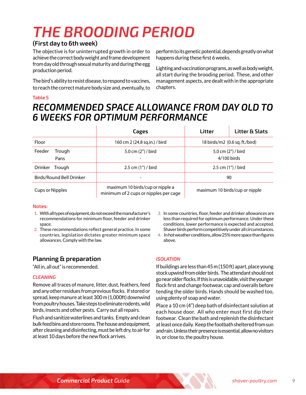# *THE BROODING PERIOD*

## **(First day to 6th week)**

The objective is for uninterrupted growth in order to achieve the correct body weight and frame development from day old through sexual maturity and during the egg production period.

The bird's ability to resist disease, to respond to vaccines, to reach the correct mature body size and, eventually, to perform to its genetic potential, depends greatly on what happens during these first 6 weeks.

Lighting and vaccination programs, as well as body weight, all start during the brooding period. These, and other management aspects, are dealt with in the appropriate chapters.

#### **Table 5**

# *RECOMMENDED SPACE ALLOWANCE FROM DAY OLD TO 6 WEEKS FOR OPTIMUM PERFORMANCE*

|                          | Cages                                                                     | Litter                            | Litter & Slats |  |
|--------------------------|---------------------------------------------------------------------------|-----------------------------------|----------------|--|
| Floor                    | 160 cm 2 (24.8 sq.in.) / bird                                             | 18 birds/m2 (0.6 sq. ft./bird)    |                |  |
| Feeder<br>Trough<br>Pans | 5.0 cm (2") / bird                                                        | 5.0 cm (2") / bird<br>4/100 birds |                |  |
| Drinker<br>Trough        | 2.5 cm $(1")$ / bird                                                      | 2.5 cm $(1")$ / bird              |                |  |
| Birds/Round Bell Drinker | $\overline{\phantom{0}}$                                                  | 90                                |                |  |
| <b>Cups or Nipples</b>   | maximum 10 birds/cup or nipple a<br>minimum of 2 cups or nipples per cage | maximum 10 birds/cup or nipple    |                |  |

#### **Notes:**

- 1. With all types of equipment, do not exceed the manufacturer's recommendations for minimum floor, feeder and drinker space.
- 2. These recommendations reflect general practice. In some countries, legislation dictates greater minimum space allowances. Comply with the law.

# **Planning & preparation**

"All in, all out" is recommended.

#### *CLEANING*

Remove all traces of manure, litter, dust, feathers, feed and any other residues from previous flocks. If stored or spread, keep manure at least 300 m (1,000ft) downwind from poultry houses. Take steps to eliminate rodents, wild birds, insects and other pests. Carry out all repairs.

Flush and sanitize waterlines and tanks. Empty and clean bulk feed bins and store rooms. The house and equipment, after cleaning and disinfecting, must be left dry, to air for at least 10 days before the new flock arrives.

- 3. In some countries, floor, feeder and drinker allowances are less than required for optimum performance. Under these conditions, lower performance is expected and accepted. Shaver birds perform competitively under all circumstances.
- 4. In hot weather conditions, allow 25% more space than figures above.

#### *ISOLATION*

If buildings are less than 45 m (150 ft) apart, place young stock upwind from older birds. The attendant should not go near older flocks. If this is unavoidable, visit the younger flock first and change footwear, cap and overalls before tending the older birds. Hands should be washed too, using plenty of soap and water.

Place a 10 cm (4") deep bath of disinfectant solution at each house door. All who enter must first dip their footwear. Clean the bath and replenish the disinfectant at least once daily. Keep the footbath sheltered from sun and rain. Unless their presence is essential, allow no visitors in, or close to, the poultry house.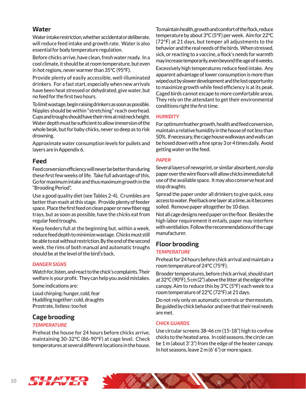#### **Water**

Water intake restriction, whether accidental or deliberate, will reduce feed intake and growth rate. Water is also essential for body temperature regulation.

Before chicks arrive, have clean, fresh water ready. In a cool climate, it should be at room temperature, but even in hot regions, never warmer than 35°C (95°F).

Provide plenty of easily accessible, well-illuminated drinkers. For a fast start, especially when new arrivals have been heat stressed or dehydrated, give water, but no feed for the first two hours.

To limit wastage, begin raising drinkers as soon as possible. Nipples should be within "stretching" reach overhead. Cups and troughs should have their rims at mid neck height. Water depth must be sufficient to allow immersion of the whole beak, but for baby chicks, never so deep as to risk drowning.

Approximate water consumption levels for pullets and layers are in Appendix 6.

### **Feed**

Feed conversion efficiency will never be better than during these first few weeks of life. Take full advantage of this. Go for maximum intake and thus maximum growth in the "Brooding Period".

Use a good quality diet (see Tables 2-4). Crumbles are better than mash at this stage. Provide plenty of feeder space. Place the first feed on clean paper or new fiber egg trays, but as soon as possible, have the chicks eat from regular feed troughs.

Keep feeders full at the beginning but, within a week, reduce feed depth to minimize wastage. Chicks must still be able to eat without restriction. By the end of the second week, the rims of both manual and automatic troughs should be at the level of the bird's back.

#### *DANGER SIGNS*

Watch for, listen, and react to the chick's complaints. Their welfare is your profit. They can help you avoid mistakes. Some indications are:

Loud chirping: hunger, cold, fear Huddling together: cold, draughts Prostrate, listless: too hot

### **Cage brooding**

#### *TEMPERATURE*

Preheat the house for 24 hours before chicks arrive, maintaining 30-32°C (86-90°F) at cage level. Check temperatures at several different locations in the house.

To maintain health, growth and comfort of the flock, reduce temperature by about 3°C (5°F) per week. Aim for 22°C (72°F) at 21 days, but temper all adjustments to the behavior and the real needs of the birds. When stressed, sick, or reacting to a vaccine, a flock's needs for warmth may increase temporarily, even beyond the age of 6 weeks.

Excessively high temperatures reduce feed intake. Any apparent advantage of lower consumption is more than wiped out by slower development and the lost opportunity to maximize growth while feed efficiency is at its peak. Caged birds cannot escape to more comfortable areas. They rely on the attendant to get their environmental conditions right the first time.

#### *HUMIDITY*

For optimum feather growth, health and feed conversion, maintain a relative humidity in the house of not less than 50%. If necessary, the cage house walkways and walls can be hosed down with a fine spray 3 or 4 times daily. Avoid getting water on the feed.

#### *PAPER*

Several layers of newsprint, or similar absorbent, non slip paper over the wire floors will allow chicks immediate full use of the available space. It may also conserve heat and stop draughts.

Spread the paper under all drinkers to give quick, easy access to water. Peel back one layer at a time, as it becomes soiled. Remove paper altogether by 10 days.

Not all cage designs need paper on the floor. Besides the high labor requirement it entails, paper may interfere with ventilation. Follow the recommendations of the cage manufacturer.

# **Floor brooding**

#### *TEMPERATURE*

Preheat for 24 hours before chick arrival and maintain a room temperature of 24°C (75°F).

Brooder temperatures, before chick arrival, should start at 32°C (90°F), 5 cm (2") above the litter at the edge of the canopy. Aim to reduce this by 3°C (5°F) each week to a room temperature of 22°C (72°F) at 21 days.

Do not rely only on automatic controls or thermostats. Be guided by chick behavior and see that their real needs are met.

#### *CHICK GUARDS*

Use circular screens 38-46 cm (15-18") high to confine chicks to the heated area. In cold seasons, the circle can be 1 m (about 3' 3") from the edge of the heater canopy. In hot seasons, leave 2 m (6' 6") or more space.



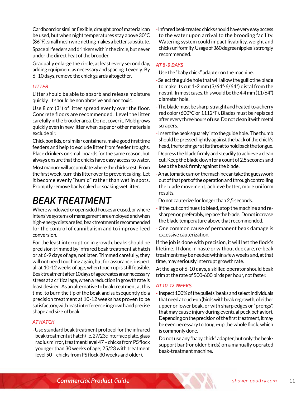Cardboard or similar flexible, draught proof material can be used, but when night temperatures stay above 30°C (86°F), small mesh wire netting makes a better substitute. Space all feeders and drinkers within the circle, but never under the direct heat of the brooder.

Gradually enlarge the circle, at least every second day, adding equipment as necessary and spacing it evenly. By 6 -10 days, remove the chick guards altogether.

#### *LITTER*

Litter should be able to absorb and release moisture quickly. It should be non abrasive and non toxic.

Use 8 cm (3") of litter spread evenly over the floor. Concrete floors are recommended. Level the litter carefully in the brooder area. Do not cover it. Mold grows quickly even in new litter when paper or other materials exclude air.

Chick box lids, or similar containers, make good first time feeders and help to exclude litter from feeder troughs. Place drinkers on small boards for the same reason, but always ensure that the chicks have easy access to water.

Most manure will accumulate where the chicks rest. From the first week, turn this litter over to prevent caking. Let it become evenly "humid" rather than wet in spots. Promptly remove badly caked or soaking wet litter.

# *BEAK TREATMENT*

Where windowed or open sided houses are used, or where intensive systems of management are employed and when high-energy diets are fed, beak treatment is recommended for the control of cannibalism and to improve feed conversion.

For the least interruption in growth, beaks should be precision trimmed by infrared beak treatment at hatch or at 6-9 days of age, not later. Trimmed carefully, they will not need touching again, but for assurance, inspect all at 10-12 weeks of age, when touch up is still feasible. Beak treatment after 10 days of age creates an unnecessary stress at a critical age, when a reduction in growth rate is least desired. As an alternative to beak treatment at this time, to burn the tip of the beak and subsequently do a precision treatment at 10-12 weeks has proven to be satisfactory, with least interference in growth and precise shape and size of beak.

#### *AT HATCH*

- Use standard beak treatment protocol for the infrared beak treatment at hatch (i.e. 27/23c interface plate, glass radius mirror, treatment level 47 – chicks from PS flock younger than 30 weeks of age; 25/23 with treatment level 50 – chicks from PS flock 30 weeks and older).

- Infrared beak treated chicks should have very easy access to the water upon arrival to the brooding facility. Watering system could impact livability, weight and chicks uniformity. Usage of 360 degree nipples is strongly recommended.

#### *AT 6-9 DAYS*

- Use the "baby chick" adapter on the machine.
- Select the guide hole that will allow the guillotine blade to make its cut 1-2 mm (3/64"-6/64") distal from the nostril. In most cases, this would be the 4.4 mm (11/64") diameter hole.
- The blade must be sharp, straight and heated to a cherry red color (600°C or 1112°F). Blades must be replaced after every three hours of use. Do not clean it with metal scrapers.
- Insert the beak squarely into the guide hole. The thumb should be pressed lightly against the back of the chick's head, the forefinger at its throat to hold back the tongue.
- Depress the blade firmly and steadily to achieve a clean cut. Keep the blade down for a count of 2,5 seconds and keep the beak firmly against the blade.
- An automatic cam on the machine can take the guesswork out of that part of the operation and through controlling the blade movement, achieve better, more uniform results.
- Do not cauterize for longer than 2,5 seconds.
- If the cut continues to bleed, stop the machine and resharpen or, preferably, replace the blade. Do not increase the blade temperature above that recommended.
- One common cause of permanent beak damage is excessive cauterization.

If the job is done with precision, it will last the flock's lifetime. If done in haste or without due care, re-beak treatment may be needed within a few weeks and, at that time, may seriously interrupt growth rate.

At the age of 6-10 days, a skilled operator should beak trim at the rate of 500-600 birds per hour, not faster.

#### *AT 10-12 WEEKS*

- Inspect 100% of the pullets' beaks and select individuals that need a touch-up (birds with beak regrowth, of either upper or lower beak, or with sharp edges or "prongs", that may cause injury during eventual peck behavior). Depending on the precision of the first treatment, it may be even necessary to tough-up the whole flock, which is commonly done.
- Do not use any "baby chick" adapter, but only the beaksupport bar (for older birds) on a manually operated beak-treatment machine.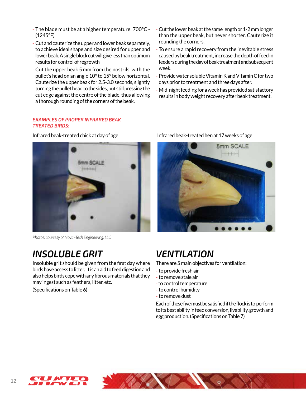- The blade must be at a higher temperature: 700°C (1245°F)
- Cut and cauterize the upper and lower beak separately, to achieve ideal shape and size desired for upper and lower beak. A single block cut will give less than optimum results for control of regrowth
- Cut the upper beak 5 mm from the nostrils, with the pullet's head on an angle 10° to 15° below horizontal. Cauterize the upper beak for 2.5-3.0 seconds, slightly turning the pullet head to the sides, but still pressing the cut edge against the centre of the blade, thus allowing a thorough rounding of the corners of the beak.

#### *EXAMPLES OF PROPER INFRARED BEAK TREATED BIRDS:*

Infrared beak-treated chick at day of age



*Photos: courtesy of Nova–Tech Engineering, LLC*

# *INSOLUBLE GRIT*

Insoluble grit should be given from the first day where birds have access to litter. It is an aid to feed digestion and also helps birds cope with any fibrous materials that they may ingest such as feathers, litter, etc.

(Specifications on Table 6)

- Cut the lower beak at the same length or 1-2 mm longer than the upper beak, but never shorter. Cauterize it rounding the corners.
- To ensure a rapid recovery from the inevitable stress caused by beak treatment, increase the depth of feed in feeders during the day of beak treatment and subsequent week.
- Provide water soluble Vitamin K and Vitamin C for two days prior to treatment and three days after.
- Mid-night feeding for a week has provided satisfactory results in body weight recovery after beak treatment.



#### Infrared beak-treated hen at 17 weeks of age

# *VENTILATION*

There are 5 main objectives for ventilation:

- to provide fresh air
- to remove stale air
- to control temperature
- to control humidity
- to remove dust

Each of these five must be satisfied if the flock is to perform to its best ability in feed conversion, livability, growth and egg production. (Specifications on Table 7)



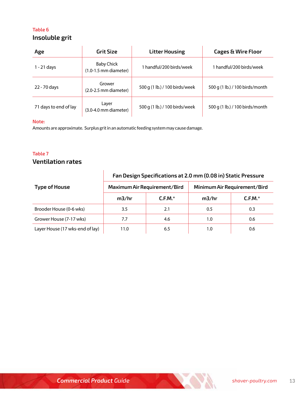## **Table 6 Insoluble grit**

| Age                   | Grit Size                                    | <b>Litter Housing</b>          | <b>Cages &amp; Wire Floor</b>   |
|-----------------------|----------------------------------------------|--------------------------------|---------------------------------|
| 1 - 21 days           | <b>Baby Chick</b><br>$(1.0-1.5$ mm diameter) | 1 handful/200 birds/week       | 1 handful/200 birds/week        |
| 22 - 70 days          | Grower<br>$(2.0-2.5$ mm diameter)            | 500 g (1 lb.) / 100 birds/week | 500 g (1 lb.) / 100 birds/month |
| 71 days to end of lay | Layer<br>$(3.0-4.0$ mm diameter)             | 500 g (1 lb.) / 100 birds/week | 500 g (1 lb.) / 100 birds/month |

#### **Note:**

Amounts are approximate. Surplus grit in an automatic feeding system may cause damage.

# **Table 7**

### **Ventilation rates**

|                                 | Fan Design Specifications at 2.0 mm (0.08 in) Static Pressure |           |                              |     |  |  |
|---------------------------------|---------------------------------------------------------------|-----------|------------------------------|-----|--|--|
| <b>Type of House</b>            | Maximum Air Requirement/Bird                                  |           | Minimum Air Requirement/Bird |     |  |  |
|                                 | m3/hr                                                         | $C.F.M.*$ | $C.F.M.*$<br>m3/hr           |     |  |  |
| Brooder House (0-6 wks)         | 3.5                                                           | 2.1       | 0.5                          | 0.3 |  |  |
| Grower House (7-17 wks)         | 7.7                                                           | 4.6       | 1.0                          | 0.6 |  |  |
| Layer House (17 wks-end of lay) | 11.0                                                          | 6.5       | 1.0                          | 0.6 |  |  |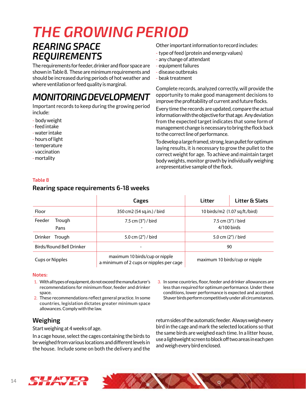# *THE GROWING PERIOD*

# *REARING SPACE REQUIREMENTS*

The requirements for feeder, drinker and floor space are shown in Table 8. These are minimum requirements and should be increased during periods of hot weather and where ventilation or feed quality is marginal.

# *MONITORING DEVELOPMENT*

Important records to keep during the growing period include:

- body weight
- feed intake
- water intake
- hours of light
- temperature
- vaccination
- mortality

Other important information to record includes:

- type of feed (protein and energy values)
- any change of attendant
- equipment failures
- disease outbreaks
- beak treatment

Complete records, analyzed correctly, will provide the opportunity to make good management decisions to improve the profitability of current and future flocks.

Every time the records are updated, compare the actual information with the objective for that age. Any deviation from the expected target indicates that some form of management change is necessary to bring the flock back to the correct line of performance.

To develop a large framed, strong, lean pullet for optimum laying results, it is necessary to grow the pullet to the correct weight for age. To achieve and maintain target body weights, monitor growth by individually weighing a representative sample of the flock.

#### **Table 8**

#### **Rearing space requirements 6-18 weeks**

|                          | Cages                                                                     | Litter                              | Litter & Slats                 |
|--------------------------|---------------------------------------------------------------------------|-------------------------------------|--------------------------------|
| Floor                    | 350 cm2 (54 sq.in.) / bird                                                |                                     | 10 birds/m2 (1.07 sq.ft./bird) |
| Feeder<br>Trough<br>Pans | 7.5 cm $(3")$ / bird                                                      | 7.5 cm (3") / bird<br>$4/100$ birds |                                |
| Drinker<br>Trough        | 5.0 cm $(2")$ / bird                                                      | 5.0 cm (2") / bird                  |                                |
| Birds/Round Bell Drinker |                                                                           | 90                                  |                                |
| Cups or Nipples          | maximum 10 birds/cup or nipple<br>a minimum of 2 cups or nipples per cage | maximum 10 birds/cup or nipple      |                                |

#### **Notes:**

- 1. With all types of equipment, do not exceed the manufacturer's recommendations for minimum floor, feeder and drinker space.
- 2. These recommendations reflect general practice. In some countries, legislation dictates greater minimum space allowances. Comply with the law.

## **Weighing**

Start weighing at 4 weeks of age.

In a cage house, select the cages containing the birds to be weighed from various locations and different levels in the house. Include some on both the delivery and the 3. In some countries, floor, feeder and drinker allowances are less than required for optimum performance. Under these conditions, lower performance is expected and accepted. Shaver birds perform competitively under all circumstances.

return sides of the automatic feeder. Always weigh every bird in the cage and mark the selected locations so that the same birds are weighed each time. In a litter house, use a lightweight screen to block off two areas in each pen and weigh every bird enclosed.

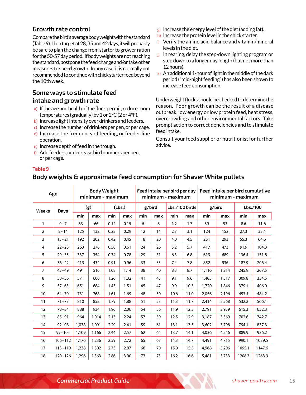### **Growth rate control**

Compare the bird's average body weight with the standard (Table 9). If on target at 28, 35 and 42 days, it will probably be safe to plan the change from starter to grower ration for the 50-57 day period. If body weights are not reaching the standard, postpone the feed change and/or take other measures to speed growth. In any case, it is normally not recommended to continue with chick starter feed beyond the 10th week.

## **Some ways to stimulate feed intake and growth rate**

- a) If the age and health of the flock permit, reduce room temperatures (gradually) by 1 or 2°C (2 or 4°F).
- b) Increase light intensity over drinkers and feeders.
- $c)$  Increase the number of drinkers per pen, or per cage.
- d) Increase the frequency of feeding, or feeder line operation.
- e) Increase depth of feed in the trough.
- $f$ ) Add feeders, or decrease bird numbers per pen, or per cage.
- $g$ ) Increase the energy level of the diet (adding fat).
- $h$ ) Increase the protein level in the chick starter.
- i) Verify the amino acid balance and vitamin/mineral levels in the diet.
- $j$ ) In rearing, delay the step-down lighting program or step down to a longer day length (but not more than 12 hours).
- $k)$  An additional 1-hour of light in the middle of the dark period ("mid-night feeding") has also been shown to increase feed consumption.

Underweight flocks should be checked to determine the reason. Poor growth can be the result of a disease outbreak, low energy or low protein feed, heat stress, overcrowding and other environmental factors. Take prompt action to correct deficiencies and to stimulate feed intake.

Consult your feed supplier or nutritionist for further advice.

#### **Table 9**

## **Body weights & approximate feed consumption for Shaver White pullets**

|                | Age         |       | <b>Body Weight</b><br>minimum - maximum |      |        | Feed intake per bird per day<br>minimum - maximum |        |      |                |        | Feed intake per bird cumulative<br>minimum - maximum |        |          |
|----------------|-------------|-------|-----------------------------------------|------|--------|---------------------------------------------------|--------|------|----------------|--------|------------------------------------------------------|--------|----------|
| <b>Weeks</b>   | Days        |       | (g)                                     |      | (Lbs.) |                                                   | g/bird |      | Lbs./100 birds | g/bird |                                                      |        | Lbs./100 |
|                |             | min   | max                                     | min  | max    | min                                               | max    | min  | max            | min    | max                                                  | min    | max      |
| 1              | $0 - 7$     | 63    | 66                                      | 0.14 | 0.15   | 6                                                 | 8      | 1.2  | 1.7            | 39     | 53                                                   | 8.6    | 11.6     |
| $\overline{2}$ | $8 - 14$    | 125   | 132                                     | 0.28 | 0.29   | 12                                                | 14     | 2.7  | 3.1            | 124    | 152                                                  | 27.3   | 33.4     |
| 3              | $15 - 21$   | 192   | 202                                     | 0.42 | 0.45   | 18                                                | 20     | 4.0  | 4.5            | 251    | 293                                                  | 55.3   | 64.6     |
| 4              | $22 - 28$   | 263   | 276                                     | 0.58 | 0.61   | 24                                                | 26     | 5.2  | 5.7            | 417    | 473                                                  | 91.9   | 104.3    |
| 5              | $29 - 35$   | 337   | 354                                     | 0.74 | 0.78   | 29                                                | 31     | 6.3  | 6.8            | 619    | 689                                                  | 136.4  | 151.8    |
| 6              | $36 - 42$   | 413   | 434                                     | 0.91 | 0.96   | 33                                                | 35     | 7.4  | 7.8            | 852    | 936                                                  | 187.9  | 206.4    |
| $\overline{7}$ | $43 - 49$   | 491   | 516                                     | 1.08 | 1.14   | 38                                                | 40     | 8.3  | 8.7            | 1,116  | 1,214                                                | 245.9  | 267.5    |
| 8              | $50 - 56$   | 571   | 600                                     | 1.26 | 1.32   | 41                                                | 43     | 9.1  | 9.6            | 1,405  | 1,517                                                | 309.8  | 334.5    |
| 9              | $57 - 63$   | 651   | 684                                     | 1.43 | 1.51   | 45                                                | 47     | 9.9  | 10.3           | 1,720  | 1,846                                                | 379.1  | 406.9    |
| 10             | $64 - 70$   | 731   | 768                                     | 1.61 | 1.69   | 48                                                | 50     | 10.6 | 11.0           | 2,056  | 2,196                                                | 453.4  | 484.2    |
| 11             | $71 - 77$   | 810   | 852                                     | 1.79 | 1.88   | 51                                                | 53     | 11.3 | 11.7           | 2,414  | 2,568                                                | 532.2  | 566.1    |
| 12             | 78 - 84     | 888   | 934                                     | 1.96 | 2.06   | 54                                                | 56     | 11.9 | 12.3           | 2,791  | 2,959                                                | 615.3  | 652.3    |
| 13             | $85 - 91$   | 964   | 1,014                                   | 2.13 | 2.24   | 57                                                | 59     | 12.5 | 12.9           | 3,187  | 3,369                                                | 702.6  | 742.7    |
| 14             | $92 - 98$   | 1,038 | 1.091                                   | 2.29 | 2.41   | 59                                                | 61     | 13.1 | 13.5           | 3,602  | 3,798                                                | 794.1  | 837.3    |
| 15             | $99 - 105$  | 1,109 | 1,166                                   | 2.44 | 2.57   | 62                                                | 64     | 13.7 | 14.1           | 4,036  | 4,246                                                | 889.9  | 936.2    |
| 16             | $106 - 112$ | 1,176 | 1,236                                   | 2.59 | 2.72   | 65                                                | 67     | 14.3 | 14.7           | 4,491  | 4,715                                                | 990.1  | 1039.5   |
| 17             | $113 - 119$ | 1,238 | 1,302                                   | 2.73 | 2.87   | 68                                                | 70     | 15.0 | 15.5           | 4,968  | 5,206                                                | 1095.1 | 1147.6   |
| 18             | $120 - 126$ | 1,296 | 1,363                                   | 2.86 | 3.00   | 73                                                | 75     | 16.2 | 16.6           | 5,481  | 5,733                                                | 1208.3 | 1263.9   |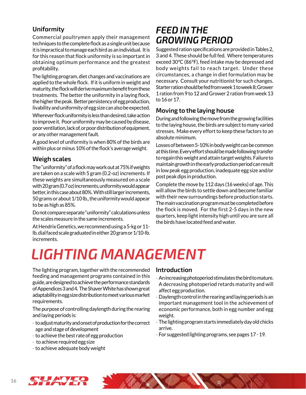## **Uniformity**

Commercial poultrymen apply their management techniques to the complete flock as a single unit because it is impractical to manage each bird as an individual. It is for this reason that flock uniformity is so important in obtaining optimum performance and the greatest profitability.

The lighting program, diet changes and vaccinations are applied to the whole flock. If it is uniform in weight and maturity, the flock will derive maximum benefit from these treatments. The better the uniformity in a laying flock, the higher the peak. Better persistency of egg production, livability and uniformity of egg size can also be expected.

Wherever flock uniformity is less than desired, take action to improve it. Poor uniformity may be caused by disease, poor ventilation, lack of, or poor distribution of equipment, or any other management fault.

A good level of uniformity is when 80% of the birds are within plus or minus 10% of the flock's average weight.

## **Weigh scales**

The "uniformity" of a flock may work out at 75% if weights are taken on a scale with 5 gram (0.2-oz) increments. If these weights are simultaneously measured on a scale with 20 gram (0.7 oz) increments, uniformity would appear better, in this case about 80%. With still larger increments, 50 grams or about 1/10 lb., the uniformity would appear to be as high as 85%.

Do not compare separate "uniformity" calculations unless the scales measure in the same increments.

At Hendrix Genetics, we recommend using a 5-kg or 11 lb. dial faced scale graduated in either 20 gram or 1/10-lb. increments.

# *FEED IN THE GROWING PERIOD*

Suggested ration specifications are provided in Tables 2, 3 and 4. These should be full fed. Where temperatures exceed 30°C (86°F), feed intake may be depressed and body weights fail to reach target. Under these circumstances, a change in diet formulation may be necessary. Consult your nutritionist for such changes. Starter ration should be fed from week 1 to week 8; Grower 1 ration from 9 to 12 and Grower 2 ration from week 13 to 16 or 17.

## **Moving to the laying house**

During and following the move from the growing facilities to the laying house, the birds are subject to many varied stresses. Make every effort to keep these factors to an absolute minimum.

Losses of between 5-10% in body weight can be common at this time. Every effort should be made following transfer to regain this weight and attain target weights. Failure to maintain growth in the early production period can result in low peak egg production, inadequate egg size and/or post peak dips in production.

Complete the move by 112 days (16 weeks) of age. This will allow the birds to settle down and become familiar with their new surroundings before production starts. The main vaccination program must be completed before the flock is moved. For the first 2-5 days in the new quarters, keep light intensity high until you are sure all the birds have located feed and water.

# *LIGHTING MANAGEMENT*

The lighting program, together with the recommended feeding and management programs contained in this guide, are designed to achieve the performance standards of Appendices 3 and 4. The Shaver White has shown great adaptability in egg size distribution to meet various market requirements.

The purpose of controlling daylength during the rearing and laying periods is:

- to adjust maturity and onset of production for the correct age and stage of development
- to achieve the best rate of egg production
- to achieve required egg size
- to achieve adequate body weight

### **Introduction**

- An increasing photoperiod stimulates the bird to mature. A decreasing photoperiod retards maturity and will affect egg production.
- Daylength control in the rearing and laying periods is an important management tool in the achievement of economic performance, both in egg number and egg weight.
- The lighting program starts immediately day old chicks arrive.
- For suggested lighting programs, see pages 17 19.



**16**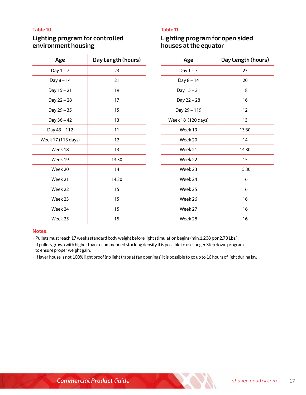#### **Table 10**

## **Lighting program for controlled environment housing**

#### **Table 11**

## **Lighting program for open sided houses at the equator**

| Age                | Day Length (hours) | Age                | Day Length (hours) |
|--------------------|--------------------|--------------------|--------------------|
| Day $1 - 7$        | 23                 | Day $1 - 7$        | 23                 |
| Day $8-14$         | 21                 | Day $8-14$         | 20                 |
| Day 15 - 21        | 19                 | Day 15 - 21        | 18                 |
| Day 22 - 28        | 17                 | Day 22 - 28        | 16                 |
| Day 29 - 35        | 15                 | Day 29 - 119       | 12                 |
| Day 36 - 42        | 13                 | Week 18 (120 days) | 13                 |
| Day 43 - 112       | 11                 | Week 19            | 13:30              |
| Week 17 (113 days) | 12                 | Week 20            | 14                 |
| Week 18            | 13                 | Week 21            | 14:30              |
| Week 19            | 13:30              | Week 22            | 15                 |
| Week 20            | 14                 | Week 23            | 15:30              |
| Week 21            | 14:30              | Week 24            | 16                 |
| Week 22            | 15                 | Week 25            | 16                 |
| Week 23            | 15                 | Week 26            | 16                 |
| Week 24            | 15                 | Week 27            | 16                 |
| Week 25            | 15                 | Week 28            | 16                 |

#### **Notes:**

- Pullets must reach 17 weeks standard body weight before light stimulation begins (min.1,238 g or 2.73 Lbs.).

- If pullets grown with higher than recommended stocking density it is possible to use longer Step down program, to ensure proper weight gain.

- If layer house is not 100% light proof (no light traps at fan openings) it is possible to go up to 16 hours of light during lay.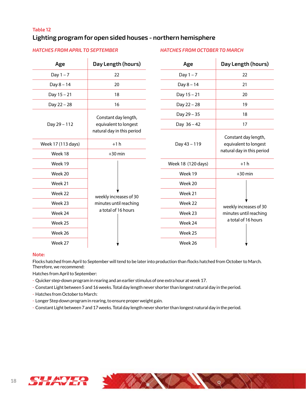## **Table 12 Lighting program for open sided houses - northern hemisphere**

#### *HATCHES FROM APRIL TO SEPTEMBER HATCHES FROM OCTOBER TO MARCH*

| Age                           | Day Length (hours)                               | Age                | Day Length (hours)                                                          |
|-------------------------------|--------------------------------------------------|--------------------|-----------------------------------------------------------------------------|
| Day $1 - 7$                   | 22                                               | Day $1 - 7$        | 22                                                                          |
| Day $8-14$                    | 20                                               | Day $8 - 14$       | 21                                                                          |
| Day 15 - 21                   | 18                                               | Day 15 - 21        | 20                                                                          |
| Day 22 - 28                   | 16                                               | Day 22 - 28        | 19                                                                          |
|                               | Constant day length,                             | Day 29 - 35        | 18                                                                          |
| Day 29 - 112                  | equivalent to longest                            | Day $36 - 42$      | 17                                                                          |
| Week 17 (113 days)<br>Week 18 | natural day in this period<br>$+1h$<br>$+30$ min | Day 43 - 119       | Constant day length,<br>equivalent to longest<br>natural day in this period |
| Week 19                       |                                                  | Week 18 (120 days) | $+1h$                                                                       |
| Week 20                       |                                                  | Week 19            | $+30$ min                                                                   |
| Week 21                       |                                                  | Week 20            |                                                                             |
| Week 22                       | weekly increases of 30                           | Week 21            |                                                                             |
| Week 23                       | minutes until reaching                           | Week 22            | weekly increases of 30                                                      |
| Week 24                       | a total of 16 hours                              | Week 23            | minutes until reaching                                                      |
| Week 25                       |                                                  | Week 24            | a total of 16 hours                                                         |
| Week 26                       |                                                  | Week 25            |                                                                             |
| Week 27                       |                                                  | Week 26            |                                                                             |

#### **Note:**

Flocks hatched from April to September will tend to be later into production than flocks hatched from October to March. Therefore, we recommend:

Hatches from April to September:

- Quicker step-down program in rearing and an earlier stimulus of one extra hour at week 17.
- Constant Light between 5 and 16 weeks. Total day length never shorter than longest natural day in the period.
- Hatches from October to March:
- Longer Step down program in rearing, to ensure proper weight gain.
- Constant Light between 7 and 17 weeks. Total day length never shorter than longest natural day in the period.



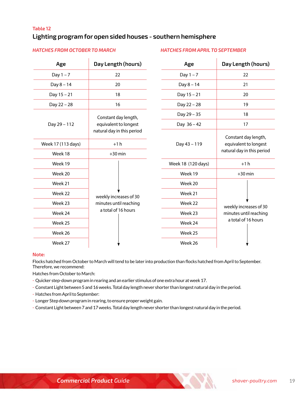## **Table 12 Lighting program for open sided houses - southern hemisphere**

#### *HATCHES FROM OCTOBER TO MARCH HATCHES FROM APRIL TO SEPTEMBER*

| Age                           | Day Length (hours)                               | Age                | Day Length (hours)                                                          |
|-------------------------------|--------------------------------------------------|--------------------|-----------------------------------------------------------------------------|
| Day $1 - 7$                   | 22                                               | Day $1 - 7$        | 22                                                                          |
| Day $8 - 14$                  | 20                                               | Day $8 - 14$       | 21                                                                          |
| Day $15 - 21$                 | 18                                               | Day 15 - 21        | 20                                                                          |
| Day 22 - 28                   | 16                                               | Day 22 - 28        | 19                                                                          |
|                               | Constant day length,                             | Day 29 - 35        | 18                                                                          |
| Day 29 - 112                  | equivalent to longest                            | Day $36 - 42$      | 17                                                                          |
| Week 17 (113 days)<br>Week 18 | natural day in this period<br>$+1h$<br>$+30$ min | Day 43 - 119       | Constant day length,<br>equivalent to longest<br>natural day in this period |
| Week 19                       |                                                  | Week 18 (120 days) | $+1h$                                                                       |
| Week 20                       |                                                  | Week 19            | $+30$ min                                                                   |
| Week 21                       |                                                  | Week 20            |                                                                             |
| Week 22                       | weekly increases of 30                           | Week 21            |                                                                             |
| Week 23                       | minutes until reaching                           | Week 22            | weekly increases of 30                                                      |
| Week 24                       | a total of 16 hours                              | Week 23            | minutes until reaching                                                      |
| Week 25                       |                                                  | Week 24            | a total of 16 hours                                                         |
| Week 26                       |                                                  | Week 25            |                                                                             |
| Week 27                       |                                                  | Week 26            |                                                                             |

#### **Note:**

Flocks hatched from October to March will tend to be later into production than flocks hatched from April to September. Therefore, we recommend:

Hatches from October to March:

- Quicker step-down program in rearing and an earlier stimulus of one extra hour at week 17.
- Constant Light between 5 and 16 weeks. Total day length never shorter than longest natural day in the period.
- Hatches from April to September:
- Longer Step down program in rearing, to ensure proper weight gain.
- Constant Light between 7 and 17 weeks. Total day length never shorter than longest natural day in the period.

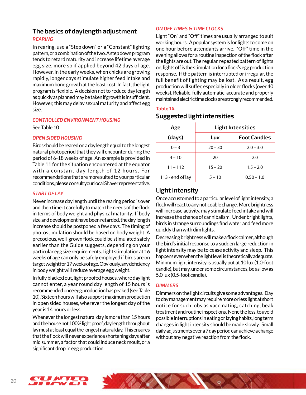#### **The basics of daylength adjustment** *REARING*

In rearing, use a "Step down" or a "Constant" lighting pattern, or a combination of the two. A step down program tends to retard maturity and increase lifetime average egg size, more so if applied beyond 42 days of age. However, in the early weeks, when chicks are growing rapidly, longer days stimulate higher feed intake and maximum bone growth at the least cost. In fact, the light program is flexible. A decision not to reduce day length as quickly as planned may be taken if growth is insufficient. However, this may delay sexual maturity and affect egg size.

#### *CONTROLLED ENVIRONMENT HOUSING*

See Table 10

#### *OPEN SIDED HOUSING*

Birds should be reared on a day length equal to the longest natural photoperiod that they will encounter during the period of 6-18 weeks of age. An example is provided in Table 11 for the situation encountered at the equator with a constant day length of 12 hours. For recommendations that are more suited to your particular conditions, please consult your local Shaver representative.

#### *START OF LAY*

Never increase day length until the rearing period is over and then time it carefully to match the needs of the flock in terms of body weight and physical maturity. If body size and development have been retarded, the day length increase should be postponed a few days. The timing of photostimulation should be based on body weight. A precocious, well-grown flock could be stimulated safely earlier than the Guide suggests, depending on your particular egg size requirements. Light stimulation at 16 weeks of age can only be safely employed if birds are on target weight for 17 weeks of age. Obviously, any deficiency in body weight will reduce average egg weight.

In fully blacked out, light proofed houses, where daylight cannot enter, a year round day length of 15 hours is recommended once egg production has peaked (see Table 10). Sixteen hours will also support maximum production in open sided houses, wherever the longest day of the year is 14 hours or less.

Whenever the longest natural day is more than 15 hours and the house not 100% light proof, day length throughout lay must at least equal the longest natural day. This ensures that the flock will never experience shortening days after mid summer, a factor that could induce neck moult, or a significant drop in egg production.

#### *ON OFF TIMES & TIME CLOCKS*

Light "On" and "Off" times are usually arranged to suit working hours. A popular system is for lights to come on one hour before attendants arrive. "Off" time in the evening allows for a routine inspection of the flock after the lights are out. The regular, repeated pattern of lights on, lights off is the stimulation for a flock's egg production response. If the pattern is interrupted or irregular, the full benefit of lighting may be lost. As a result, egg production will suffer, especially in older flocks (over 40 weeks). Reliable, fully automatic, accurate and properly maintained electric time clocks are strongly recommended.

#### **Table 14**

#### **Suggested light intensities**

| Age              | <b>Light Intensities</b> |                     |  |  |  |
|------------------|--------------------------|---------------------|--|--|--|
| (days)           | Lux                      | <b>Foot Candles</b> |  |  |  |
| $0 - 3$          | $20 - 30$                | $2.0 - 3.0$         |  |  |  |
| $4 - 10$         | 20                       | 2.0                 |  |  |  |
| $11 - 112$       | $15 - 20$                | $1.5 - 2.0$         |  |  |  |
| 113 - end of lay | $5 - 10$                 | $0.50 - 1.0$        |  |  |  |

#### **Light Intensity**

Once accustomed to a particular level of light intensity, a flock will react to any noticeable change. More brightness will increase activity, may stimulate feed intake and will increase the chance of cannibalism. Under bright lights, birds in strange surroundings find water and feed more quickly than with dim lights.

Decreasing brightness will make a flock calmer, although the bird's initial response to a sudden large reduction in light intensity may be to cease activity and sleep. This happens even when the light level is theoretically adequate. Minimum light intensity is usually put at 10 lux (1.0-foot candle), but may, under some circumstances, be as low as 5.0 lux (0.5-foot candle).

#### *DIMMERS*

Dimmers on the light circuits give some advantages. Day to day management may require more or less light at short notice for such jobs as vaccinating, catching, beak treatment and routine inspections. None the less, to avoid possible interruptions in eating or laying habits, long term changes in light intensity should be made slowly. Small daily adjustments over a 7 day period can achieve a change without any negative reaction from the flock.



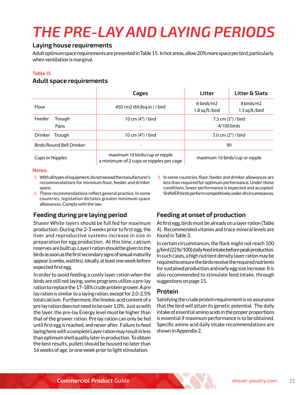# *THE PRE-LAY AND LAYING PERIODS*

#### **Laying house requirements**

Adult optimum space requirements are presented in Table 15. In hot areas, allow 20% more space per bird, particularly when ventilation is marginal.

#### **Table 15**

#### **Adult space requirements**

|                          | Cages                                                                     | Litter                            | Litter & Slats                 |
|--------------------------|---------------------------------------------------------------------------|-----------------------------------|--------------------------------|
| Floor                    | 450 cm2 (69.8sq.in.) / bird                                               | 6 birds/m2<br>1.8 sq.ft./bird     | 8 birds/m2<br>1.3 sq.ft./bird  |
| Feeder<br>Trough<br>Pans | 10 cm (4") / bird                                                         | 7.5 cm (3") / bird<br>4/100 birds |                                |
| Drinker<br>Trough        | 10 cm (4") / bird                                                         | 5.0 cm (2") / bird                |                                |
| Birds/Round Bell Drinker |                                                                           | 90                                |                                |
| Cups or Nipples          | maximum 10 birds/cup or nipple<br>a minimum of 2 cups or nipples per cage |                                   | maximum 10 birds/cup or nipple |

#### **Notes:**

- 1. With all types of equipment, do not exceed the manufacturer's recommendations for minimum floor, feeder and drinker space.
- 2. These recommendations reflect general practice. In some countries, legislation dictates greater minimum space allowances. Comply with the law.

## **Feeding during pre laying period**

Shaver White layers should be full fed for maximum production. During the 2-3 weeks prior to first egg, the liver and reproductive systems increase in size in preparation for egg production. At this time, calcium reserves are built up. Layer I ration should be given to the birds as soon as the first secondary signs of sexual maturity appear (combs, wattles). Ideally, at least one week before expected first egg.

In order to avoid feeding a costly layer ration when the birds are still not laying, some programs utilize a pre-lay ration to replace the 17-18% crude protein grower. A pre lay ration is similar to a laying ration, except for 2.0-2.5% total calcium. Furthermore, the linoleic acid content of a pre lay ration does not need to be over 1.0%. Just as with the layer, the pre-lay Energy level must be higher than that of the grower ration. Pre lay ration can only be fed until first egg is reached, and never after. Failure to feed laying hens with a complete Layer ration may result in less than optimum shell quality later in production. To obtain the best results, pullets should be housed no later than 16 weeks of age, or one week prior to light stimulation.

3. In some countries, floor, feeder and drinker allowances are less than required for optimum performance. Under these conditions, lower performance is expected and accepted. SHAVER birds perform competitively under all circumstances.

## **Feeding at onset of production**

At first egg, birds must be already on a layer ration (Table 4). Recommended vitamin and trace mineral levels are found in Table 3.

In certain circumstances, the flock might not reach 100 g/bird (22 lb/100) daily feed intake before peak production. In such cases, a high nutrient density layer ration may be required to ensure the birds receive the required nutrients for sustained production and early egg size increase. It is also recommended to stimulate feed intake, through suggestions on page 15.

### **Protein**

Satisfying the crude protein requirement is no assurance that the bird will attain its genetic potential. The daily intake of essential amino acids in the proper proportions is essential if maximum performance is to be obtained. Specific amino acid daily intake recommendations are shown in Appendix 2.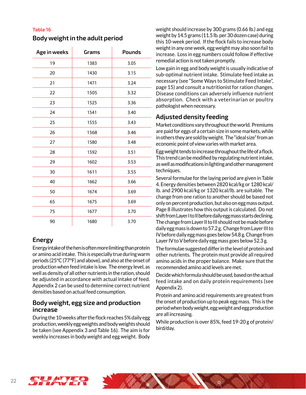#### **Table 16**

| Age in weeks | Grams | <b>Pounds</b> |
|--------------|-------|---------------|
| 19           | 1383  | 3.05          |
| 20           | 1430  | 3.15          |
| 21           | 1471  | 3.24          |
| 22           | 1505  | 3.32          |
| 23           | 1525  | 3.36          |
| 24           | 1541  | 3.40          |
| 25           | 1555  | 3.43          |
| 26           | 1568  | 3.46          |
| 27           | 1580  | 3.48          |
| 28           | 1592  | 3.51          |
| 29           | 1602  | 3.53          |
| 30           | 1611  | 3.55          |
| 40           | 1662  | 3.66          |
| 50           | 1674  | 3.69          |
| 65           | 1675  | 3.69          |
| 75           | 1677  | 3.70          |
| 90           | 1680  | 3.70          |

## **Body weight in the adult period**

### **Energy**

Energy intake of the hen is often more limiting than protein or amino acid intake. This is especially true during warm periods (25°C (77°F) and above), and also at the onset of production when feed intake is low. The energy level, as well as density of all other nutrients in the ration, should be adjusted in accordance with actual intake of feed. Appendix 2 can be used to determine correct nutrient densities based on actual feed consumption.

#### **Body weight, egg size and production increase**

During the 10 weeks after the flock reaches 5% daily egg production, weekly egg weights and body weights should be taken (see Appendix 3 and Table 16). The aim is for weekly increases in body weight and egg weight. Body

weight should increase by 300 grams (0.66 lb.) and egg weight by 14.5 grams (11.5 lb. per 30 dozen case) during this 10-week period. If the flock fails to increase body weight in any one week, egg weight may also soon fail to increase. Loss in egg numbers could follow if effective remedial action is not taken promptly.

Low gain in egg and body weight is usually indicative of sub-optimal nutrient intake. Stimulate feed intake as necessary (see "Some Ways to Stimulate Feed Intake", page 15) and consult a nutritionist for ration changes. Disease conditions can adversely influence nutrient absorption. Check with a veterinarian or poultry pathologist when necessary.

## **Adjusted density feeding**

Market conditions vary throughout the world. Premiums are paid for eggs of a certain size in some markets, while in others they are sold by weight. The "ideal size" from an economic point of view varies with market area.

Egg weight tends to increase throughout the life of a flock. This trend can be modified by regulating nutrient intake, as well as modifications in lighting and other management techniques.

Several formulae for the laying period are given in Table 4. Energy densities between 2820 kcal/kg or 1280 kcal/ lb. and 2900 kcal/kg or 1320 kcal/lb. are suitable. The change from one ration to another should be based not only on percent production, but also on egg mass output. Page 8 illustrates how this output is calculated. Do not shift from Layer I to II before daily egg mass starts declining. The change from Layer II to III should not be made before daily egg mass is down to 57.2 g. Change from Layer III to IV before daily egg mass goes below 54.8 g. Change from Layer IV to V before daily egg mass goes below 52.3 g.

The formulae suggested differ in the level of protein and other nutrients. The protein must provide all required amino acids in the proper balance. Make sure that the recommended amino acid levels are met.

Decide which formula should be used, based on the actual feed intake and on daily protein requirements (see Appendix 2).

Protein and amino acid requirements are greatest from the onset of production up to peak egg mass. This is the period when body weight, egg weight and egg production are all increasing.

While production is over 85%, feed 19-20 g of protein/ bird/day.



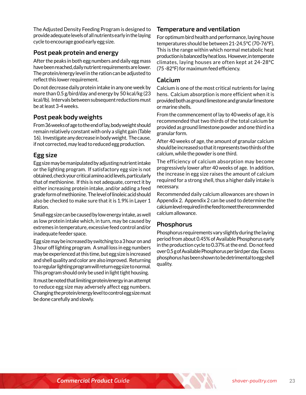The Adjusted Density Feeding Program is designed to provide adequate levels of all nutrients early in the laying cycle to encourage good early egg size.

## **Post peak protein and energy**

After the peaks in both egg numbers and daily egg mass have been reached, daily nutrient requirements are lower. The protein/energy level in the ration can be adjusted to reflect this lower requirement.

Do not decrease daily protein intake in any one week by more than 0.5 g/bird/day and energy by 50 kcal/kg (23 kcal/lb). Intervals between subsequent reductions must be at least 3-4 weeks.

## **Post peak body weights**

From 36 weeks of age to the end of lay, body weight should remain relatively constant with only a slight gain (Table 16). Investigate any decrease in body weight. The cause, if not corrected, may lead to reduced egg production.

## **Egg size**

Egg size may be manipulated by adjusting nutrient intake or the lighting program. If satisfactory egg size is not obtained, check your critical amino acid levels, particularly that of methionine. If this is not adequate, correct it by either increasing protein intake, and/or adding a feed grade form of methionine. The level of linoleic acid should also be checked to make sure that it is 1.9% in Layer 1 Ration.

Small egg size can be caused by low energy intake, as well as low protein intake which, in turn, may be caused by extremes in temperature, excessive feed control and/or inadequate feeder space.

Egg size may be increased by switching to a 3 hour on and 3 hour off lighting program. A small loss in egg numbers may be experienced at this time, but egg size is increased and shell quality and color are also improved. Returning to a regular lighting program will return egg size to normal. This program should only be used in light tight housing.

It must be noted that limiting protein/energy in an attempt to reduce egg size may adversely affect egg numbers. Changing the protein/energy level to control egg size must be done carefully and slowly.

## **Temperature and ventilation**

For optimum bird health and performance, laying house temperatures should be between 21-24.5°C (70-76°F). This is the range within which normal metabolic heat production is balanced by heat loss. However, in temperate climates, laying houses are often kept at 24-28°C (75 -82°F) for maximum feed efficiency.

## **Calcium**

Calcium is one of the most critical nutrients for laying hens. Calcium absorption is more efficient when it is provided both as ground limestone and granular limestone or marine shells.

From the commencement of lay to 40 weeks of age, it is recommended that two thirds of the total calcium be provided as ground limestone powder and one third in a granular form.

After 40 weeks of age, the amount of granular calcium should be increased so that it represents two thirds of the calcium, while the powder is one third.

The efficiency of calcium absorption may become progressively lower after 40 weeks of age. In addition, the increase in egg size raises the amount of calcium required for a strong shell, thus a higher daily intake is necessary.

Recommended daily calcium allowances are shown in Appendix 2. Appendix 2 can be used to determine the calcium level required in the feed to meet the recommended calcium allowance.

### **Phosphorus**

Phosphorus requirements vary slightly during the laying period from about 0.45% of Available Phosphorus early in the production cycle to 0.37% at the end. Do not feed over 0.5 g of Available Phosphorus per bird per day. Excess phosphorus has been shown to be detrimental to egg shell quality.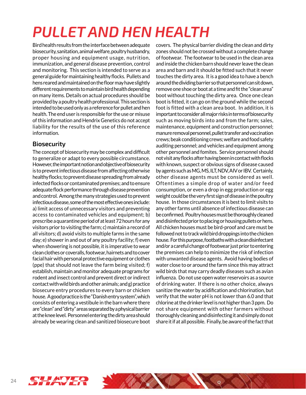# *PULLET AND HEN HEALTH*

Bird health results from the interface between adequate biosecurity, sanitation, animal welfare, poultry husbandry, proper housing and equipment usage, nutrition, immunization, and general disease prevention, control and monitoring. This section is intended to serve as a general guide for maintaining healthy flocks. Pullets and hens reared and maintained on the floor may have slightly different requirements to maintain bird health depending on many items. Details on actual procedures should be provided by a poultry health professional. This section is intended to be used only as a reference for pullet and hen health. The end user is responsible for the use or misuse of this information and Hendrix Genetics do not accept liability for the results of the use of this reference information.

## **Biosecurity**

The concept of biosecurity may be complex and difficult to generalize or adapt to every possible circumstance. However, the important notion and objective of biosecurity is to prevent infectious disease from affecting otherwise healthy flocks; to prevent disease spreading from already infected flocks or contaminated premises; and to ensure adequate flock performance through disease prevention and control. Among the many strategies used to prevent infectious disease, some of the most effective ones include: a) limit access of unnecessary visitors and preventing access to contaminated vehicles and equipment; b) prescribe a quarantine period of at least 72 hours for any visitors prior to visiting the farm; c) maintain a record of all visitors; d) avoid visits to multiple farms in the same day; e) shower in and out of any poultry facility; f) even when showering is not possible, it is imperative to wear clean clothes or coveralls, footwear, hairnets and to cover facial hair with personal protective equipment or clothes (ppe) that should not leave the farm being visited; f) establish, maintain and monitor adequate programs for rodent and insect control and prevent direct or indirect contact with wild birds and other animals; and g) practice biosecure entry procedures to every barn or chicken house. A good practice is the "Danish entry system", which consists of entering a vestibule in the barn where there are "clean" and "dirty" areas separated by a physical barrier at the knee level. Personnel entering the dirty area should already be wearing clean and sanitized biosecure boot

covers. The physical barrier dividing the clean and dirty zones should not be crossed without a complete change of footwear. The footwear to be used in the clean area and inside the chicken barn should never leave the clean area and barn and it should be fitted such that it never touches the dirty area. It is a good idea to have a bench around the dividing barrier so that personnel can sit down, remove one shoe or boot at a time and fit the "clean area" boot without touching the dirty area. Once one clean boot is fitted, it can go on the ground while the second foot is fitted with a clean area boot. In addition, it is important to consider all major risks in terms of biosecurity such as moving birds into and from the farm; sales, maintenance, equipment and construction personnel; manure removal personnel, pullet transfer and vaccination crews; beak conditioning crews; welfare and food safety auditing personnel; and vehicles and equipment among other personnel and fomites. Service personnel should not visit any flocks after having been in contact with flocks with known, suspect or obvious signs of disease caused by agents such as MG, MS, ILT, NDV, AIV or IBV. Certainly, other disease agents must be considered as well. Oftentimes a simple drop of water and/or feed consumption, or even a drop in egg production or egg weight could be the very first sign of disease in the poultry house. In those circumstances it is best to limit visits to any other farms until absence of infectious disease can be confirmed. Poultry houses must be thoroughly cleaned and disinfected prior to placing or housing pullets or hens. All chicken houses must be bird-proof and care must be followed not to track wild bird droppings into the chicken house. For this purpose, footbaths with a clean disinfectant and/or a careful change of footwear just prior to entering the premises can help to minimize the risk of infection with unwanted disease agents. Avoid having bodies of water close to or around the farm since this may attract wild birds that may carry deadly diseases such as avian influenza. Do not use open water reservoirs as a source of drinking water. If there is no other choice, always sanitize the water by acidification and chlorination, but verify that the water pH is not lower than 6.0 and that chlorine at the drinker level is not higher than 3 ppm. Do not share equipment with other farmers without thoroughly cleaning and disinfecting it and simply do not share it if at all possible. Finally, be aware of the fact that



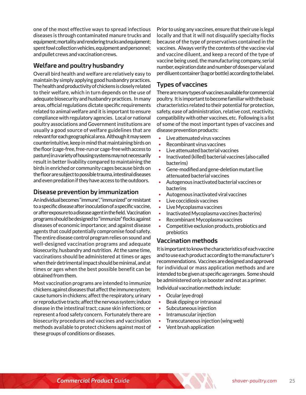one of the most effective ways to spread infectious diseases is through contaminated manure trucks and equipment; mortality and rendering trucks and equipment; spent fowl collection vehicles, equipment and personnel; and pullet crews and vaccination crews.

### **Welfare and poultry husbandry**

Overall bird health and welfare are relatively easy to maintain by simply applying good husbandry practices. The health and productivity of chickens is closely related to their welfare, which in turn depends on the use of adequate biosecurity and husbandry practices. In many areas, official regulations dictate specific requirements related to animal welfare and it is important to ensure compliance with regulatory agencies. Local or national poultry associations and Government institutions are usually a good source of welfare guidelines that are relevant for each geographical area. Although it may seem counterintuitive, keep in mind that maintaining birds on the floor (cage-free, free-run or cage-free with access to pasture) in a variety of housing systems may not necessarily result in better livability compared to maintaining the birds in enriched or community cages because birds on the floor are subject to possible trauma, intestinal diseases and even predation if they have access to the outdoors.

## **Disease prevention by immunization**

An individual becomes "immune", "immunized" or resistant to a specific disease after inoculation of a specific vaccine, or after exposure to a disease agent in the field. Vaccination programs should be designed to "immunize" flocks against diseases of economic importance; and against disease agents that could potentially compromise food safety. The entire disease control program relies on sound and well-designed vaccination programs and adequate biosecurity, husbandry and nutrition. At the same time, vaccinations should be administered at times or ages when their detrimental impact should be minimal, and at times or ages when the best possible benefit can be obtained from them.

Most vaccination programs are intended to immunize chickens against diseases that affect the immune system; cause tumors in chickens; affect the respiratory, urinary or reproductive tracts; affect the nervous system; induce disease in the intestinal tract; cause skin infections; or represent a food safety concern. Fortunately there are biosecurity procedures and vaccines and vaccination methods available to protect chickens against most of these groups of conditions or diseases.

Prior to using any vaccines, ensure that their use is legal locally and that it will not disqualify specialty flocks because of the type of preservatives contained in the vaccines. Always verify the contents of the vaccine vial and vaccine diluent, and keep a record of the type of vaccine being used, the manufacturing company, serial number, expiration date and number of doses per vial and per diluent container (bag or bottle) according to the label.

## **Types of vaccines**

There are many types of vaccines available for commercial poultry. It is important to become familiar with the basic characteristics related to their potential for protection, safety, ease of administration, relative cost, reactivity, compatibility with other vaccines, etc. Following is a list of some of the most important types of vaccines and disease prevention products:

- Live attenuated virus vaccines
- Recombinant virus vaccines
- Live attenuated bacterial vaccines
- Inactivated (killed) bacterial vaccines (also called bacterins)
- Gene-modified and gene-deletion mutant live attenuated bacterial vaccines
- Autogenous inactivated bacterial vaccines or bacterins
- Autogenous inactivated viral vaccines
- Live coccidiosis vaccines
- Live Mycoplasma vaccines
- Inactivated Mycoplasma vaccines (bacterins)
- Recombinant Mycoplasma vaccines
- Competitive exclusion products, probiotics and prebiotics

## **Vaccination methods**

It is important to know the characteristics of each vaccine and to use each product according to the manufacturer's recommendations. Vaccines are designed and approved for individual or mass application methods and are intended to be given at specific age ranges. Some should be administered only as booster and not as a primer.

Individual vaccination methods include:

- Ocular (eye drop)
- Beak dipping or intranasal
- Subcutaneous injection
- Intramuscular injection
- Transcutaneous injection (wing web)
- Vent brush application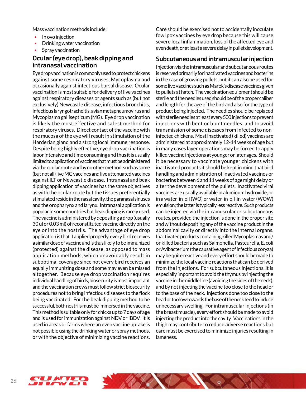Mass vaccination methods include:

- In ovo injection
- Drinking water vaccination
- Spray vaccination

#### **Ocular (eye drop), beak dipping and intranasal vaccination**

Eye drop vaccination is commonly used to protect chickens against some respiratory viruses, Mycoplasma and occasionally against infectious bursal disease. Ocular vaccination is most suitable for delivery of live vaccines against respiratory diseases or agents such as (but not exclusively) Newcastle disease, infectious bronchitis, infectious laryngotracheitis, avian metapneumovirus and Mycoplasma gallisepticum (MG). Eye drop vaccination is likely the most effective and safest method for respiratory viruses. Direct contact of the vaccine with the mucosa of the eye will result in stimulation of the Harderian gland and a strong local immune response. Despite being highly effective, eye drop vaccination is labor intensive and time consuming and thus it is usually limited to application of vaccines that must be administered via the ocular route and by no other method, such as some (but not all) live MG vaccines and live attenuated vaccines against ILT or Newcastle disease. Intranasal and beak dipping application of vaccines has the same objectives as with the ocular route but the tissues preferentially stimulated reside in the nasal cavity, the paranasal sinuses and the oropharynx and larynx. Intranasal application is popular in some countries but beak dipping is rarely used. The vaccine is administered by depositing a drop (usually 30 ul or 0.03 ml) of reconstituted vaccine directly on the eye or into the nostrils. The advantage of eye drop application is that if applied properly, every bird receives a similar dose of vaccine and is thus likely to be immunized (protected) against the disease, as opposed to mass application methods, which unavoidably result in suboptimal coverage since not every bird receives an equally immunizing dose and some may even be missed altogether. Because eye drop vaccination requires individual handling of birds, biosecurity is most important and the vaccination crews must follow strict biosecurity procedures not to bring infectious diseases to the flock being vaccinated. For the beak dipping method to be successful, both nostrils must be immersed in the vaccine. This method is suitable only for chicks up to 7 days of age and is used for immunization against NDV or IBDV. It is used in areas or farms where an even vaccine uptake is not possible using the drinking water or spray methods, or with the objective of minimizing vaccine reactions.

Care should be exercised not to accidentally inoculate fowl pox vaccines by eye drop because this will cause severe local inflammation, loss of the affected eye and even death, or at least a severe delay in pullet development.

#### **Subcutaneous and intramuscular injection**

Injection via the intramuscular and subcutaneous routes is reserved primarily for inactivated vaccines and bacterins in the case of growing pullets, but it can also be used for some live vaccines such as Marek's disease vaccines given to pullets at hatch. The vaccination equipment should be sterile and the needles used should be of the proper caliber and length for the age of the bird and also for the type of product being injected. The needles should be replaced with sterile needles at least every 500 injections to prevent injections with bent or blunt needles, and to avoid transmission of some diseases from infected to noninfected chickens. Most inactivated (killed) vaccines are administered at approximately 12-14 weeks of age but in many cases layer operations may be forced to apply killed vaccine injections at younger or later ages. Should it be necessary to vaccinate younger chickens with inactivated products it should be kept in mind that bird handling and administration of inactivated vaccines or bacterins between 6 and 11 weeks of age might delay or alter the development of the pullets. Inactivated viral vaccines are usually available in aluminum hydroxide, or in a water-in-oil (WO) or water-in-oil-in-water (WOW) emulsion; the latter is typically less reactive. Such products can be injected via the intramuscular or subcutaneous routes, provided the injection is done in the proper site and without depositing any of the vaccine product in the abdominal cavity or directly into the internal organs. Inactivated products containing killed Mycoplasmas and/ or killed bacteria such as Salmonella, Pasteurella, E. coli or Avibacterium (the causative agent of infectious coryza) may be quite reactive and every effort should be made to minimize the local vaccine reactions that can be derived from the injections. For subcutaneous injections, it is especially important to avoid the thymus by injecting the vaccine in the middle line (avoiding the sides of the neck), and by not injecting the vaccine too close to the head or to the base of the neck. Injections done too close to the head or too low towards the base of the neck tend to induce unnecessary swelling. For intramuscular injections (in the breast muscle), every effort should be made to avoid injecting the product into the cavity. Vaccinations in the thigh may contribute to reduce adverse reactions but care must be exercised to minimize injuries resulting in lameness.



**26**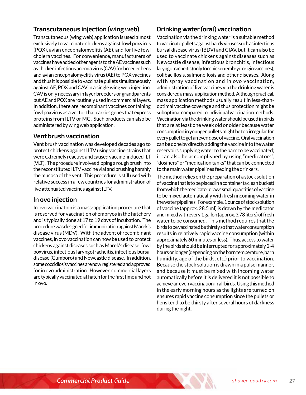## **Transcutaneous injection (wing web)**

Transcutaneous (wing web) application is used almost exclusively to vaccinate chickens against fowl poxvirus (POX), avian encephalomyelitis (AE), and for live fowl cholera vaccines. For convenience, manufacturers of vaccines have added other agents to the AE vaccines such as chicken infectious anemia virus (CAV) for breeder hens and avian encephalomyelitis virus (AE) to POX vaccines and thus it is possible to vaccinate pullets simultaneously against AE, POX and CAV in a single wing web injection. CAV is only necessary in layer breeders or grandparents but AE and POX are routinely used in commercial layers. In addition, there are recombinant vaccines containing fowl poxvirus as a vector that carries genes that express proteins from ILTV or MG. Such products can also be administered by wing web application.

### **Vent brush vaccination**

Vent brush vaccination was developed decades ago to protect chickens against ILTV using vaccine strains that were extremely reactive and caused vaccine-induced ILT (VLT). The procedure involves dipping a rough brush into the reconstituted ILTV vaccine vial and brushing harshly the mucosa of the vent. This procedure is still used with relative success in a few countries for administration of live attenuated vaccines against ILTV.

### **In ovo injection**

In ovo vaccination is a mass-application procedure that is reserved for vaccination of embryos in the hatchery and is typically done at 17 to 19 days of incubation. The procedure was designed for immunization against Marek's disease virus (MDV). With the advent of recombinant vaccines, in ovo vaccination can now be used to protect chickens against diseases such as Marek's disease, fowl poxvirus, infectious laryngotracheitis, infectious bursal disease (Gumboro) and Newcastle disease. In addition, some coccidiosis vaccines are now registered and approved for in ovo administration. However, commercial layers are typically vaccinated at hatch for the first time and not in ovo.

## **Drinking water (oral) vaccination**

Vaccination via the drinking water is a suitable method to vaccinate pullets against hardy viruses such as infectious bursal disease virus (IBDV) and CIAV, but it can also be used to vaccinate chickens against diseases such as Newcastle disease, infectious bronchitis, infectious laryngotracheitis (only for chicken embryo origin vaccines), colibacillosis, salmonellosis and other diseases. Along with spray vaccination and in ovo vaccination, administration of live vaccines via the drinking water is considered a mass-application method. Although practical, mass application methods usually result in less-thanoptimal vaccine coverage and thus protection might be suboptimal compared to individual vaccination methods. Vaccination via the drinking water should be used in birds that are at least one week old or older because water consumption in younger pullets might be too irregular for every pullet to get an even dose of vaccine. Oral vaccination can be done by directly adding the vaccine into the water reservoirs supplying water to the barn to be vaccinated; it can also be accomplished by using "medicators", "dosifiers" or "medication tanks" that can be connected to the main water pipelines feeding the drinkers.

The method relies on the preparation of a stock solution of vaccine that is to be placed in a container (a clean bucket) from which the medicator draws small quantities of vaccine to be mixed automatically with fresh incoming water in the water pipelines. For example, 1 ounce of stock solution of vaccine (approx. 28.5 ml) is drawn by the medicator and mixed with every 1 gallon (approx. 3.78 liters) of fresh water to be consumed. This method requires that the birds to be vaccinated be thirsty so that water consumption results in relatively rapid vaccine consumption (within approximately 60 minutes or less). Thus, access to water by the birds should be interrupted for approximately 2-4 hours or longer (depending on the barn temperature, barn humidity, age of the birds, etc.) prior to vaccination. Because the stock solution is drawn in a pulse manner, and because it must be mixed with incoming water automatically before it is delivered it is not possible to achieve an even vaccination in all birds. Using this method in the early morning hours as the lights are turned on ensures rapid vaccine consumption since the pullets or hens tend to be thirsty after several hours of darkness during the night.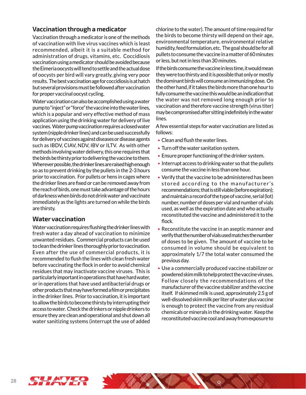## **Vaccination through a medicator**

Vaccination through a medicator is one of the methods of vaccination with live virus vaccines which is least recommended, albeit it is a suitable method for administration of drugs, vitamins, etc. Coccidiosis vaccination using a medicator should be avoided because the Eimeria oocysts will tend to settle and the actual dose of oocysts per bird will vary greatly, giving very poor results. The best vaccination age for coccidiosis is at hatch but several provisions must be followed after vaccination for proper vaccinal oocyst cycling.

Water vaccination can also be accomplished using a water pump to "inject" or "force" the vaccine into the water lines, which is a popular and very effective method of mass application using the drinking water for delivery of live vaccines. Water pump vaccination requires a closed water system (nipple drinker lines) and can be used successfully for delivery of vaccines against diseases or disease agents such as IBDV, CIAV, NDV, IBV or ILTV. As with other methods involving water delivery, this one requires that the birds be thirsty prior to delivering the vaccine to them. Wherever possible, the drinker lines are raised high enough so as to prevent drinking by the pullets in the 2-3 hours prior to vaccination. For pullets or hens in cages where the drinker lines are fixed or can be removed away from the reach of birds, one must take advantage of the hours of darkness when birds do not drink water and vaccinate immediately as the lights are turned on while the birds are thirsty.

#### **Water vaccination**

Water vaccination requires flushing the drinker lines with fresh water a day ahead of vaccination to minimize unwanted residues. Commercial products can be used to clean the drinker lines thoroughly prior to vaccination. Even after the use of commercial products, it is recommended to flush the lines with clean fresh water before vaccinating the flock in order to avoid chemical residues that may inactivate vaccine viruses. This is particularly important in operations that have hard water, or in operations that have used antibacterial drugs or other products that may have formed a film or precipitates in the drinker lines. Prior to vaccination, it is important to allow the birds to become thirsty by interrupting their access to water. Check the drinkers or nipple drinkers to ensure they are clean and operational and shut down all water sanitizing systems (interrupt the use of added

chlorine to the water). The amount of time required for the birds to become thirsty will depend on their age, environmental temperature, environmental relative humidity, feed formulation, etc. The goal should be for all pullets to consume the vaccine in a matter of 60 minutes or less, but not in less than 30 minutes.

If the birds consume the vaccine in less time, it would mean they were too thirsty and it is possible that only or mostly the dominant birds will consume an immunizing dose. On the other hand, if it takes the birds more than one hour to fully consume the vaccine this would be an indication that the water was not removed long enough prior to vaccination and therefore vaccine strength (virus titer) may be compromised after sitting indefinitely in the water lines.

A few essential steps for water vaccination are listed as follows:

- Clean and flush the water lines.
- Turn off the water sanitation system.
- Ensure proper functioning of the drinker system.
- Interrupt access to drinking water so that the pullets consume the vaccine in less than one hour.
- Verify that the vaccine to be administered has been stored according to the manufacturer's recommendations; that is still viable (before expiration); and maintain a record of the type of vaccine, serial (lot) number, number of doses per vial and number of vials used, as well as the expiration date and who actually reconstituted the vaccine and administered it to the flock.
- Reconstitute the vaccine in an aseptic manner and verify that the number of vials used matches the number of doses to be given. The amount of vaccine to be consumed in volume should be equivalent to approximately 1/7 the total water consumed the previous day.
- Use a commercially produced vaccine stabilizer or powdered skim milk to help protect the vaccine viruses. Follow closely the recommendations of the manufacturer of the vaccine stabilizer and the vaccine itself. If skimmed milk is used, approximately 2.5 g of well-dissolved skim milk per liter of water plus vaccine is enough to protect the vaccine from any residual chemicals or minerals in the drinking water. Keep the reconstituted vaccine cool and away from exposure to

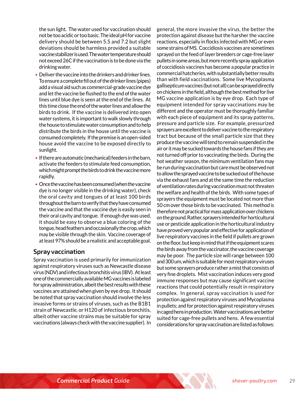the sun light. The water used for vaccination should not be too acidic or too basic. The ideal pH for vaccine delivery should be between 5.5 and 7.2 but slight deviations should be harmless provided a suitable vaccine stabilizer is used. The water temperature should not exceed 26C if the vaccination is to be done via the drinking water.

- Deliver the vaccine into the drinkers and drinker lines. To ensure a complete fill out of the drinker lines (pipes) add a visual aid such as commercial-grade vaccine dye and let the vaccine be flushed to the end of the water lines until blue dye is seen at the end of the lines. At this time close the end of the water lines and allow the birds to drink. If the vaccine is delivered into open water systems, it is important to walk slowly through the house to stimulate water consumption and to help distribute the birds in the house until the vaccine is consumed completely. If the premise is an open-sided house avoid the vaccine to be exposed directly to sunlight.
- If there are automatic (mechanical) feeders in the barn, activate the feeders to stimulate feed consumption, which might prompt the birds to drink the vaccine more rapidly.
- Once the vaccine has been consumed (when the vaccine dye is no longer visible in the drinking water), check the oral cavity and tongues of at least 100 birds throughout the barn to verify that they have consumed the vaccine and that the vaccine dye is easily seen in their oral cavity and tongue. If enough dye was used, it should be easy to observe a blue coloring of the tongue, head feathers and occasionally the crop, which may be visible through the skin. Vaccine coverage of at least 97% should be a realistic and acceptable goal.

### **Spray vaccination**

Spray vaccination is used primarily for immunization against respiratory viruses such as Newcastle disease virus (NDV) and infectious bronchitis virus (IBV). At least one of the commercially available MG vaccines is labeled for spray administration, albeit the best results with these vaccines are attained when given by eye drop. It should be noted that spray vaccination should involve the less invasive forms or strains of viruses, such as the B1B1 strain of Newcastle, or H120 of infectious bronchitis, albeit other vaccine strains may be suitable for spray vaccinations (always check with the vaccine supplier). In

general, the more invasive the virus, the better the protection against disease but the harsher the vaccine reactions, especially in flocks infected with MG or even some strains of MS. Coccidiosis vaccines are sometimes sprayed on the feed of layer breeders or cage-free layer pullets in some areas, but more recently spray application of coccidiosis vaccines has become a popular practice in commercial hatcheries, with substantially better results than with field vaccinations. Some live Mycoplasma gallisepticum vaccines (but not all) can be sprayed directly on chickens in the field, although the best method for live MG vaccine application is by eye drop. Each type of equipment intended for spray vaccinations may be different and the operator must be thoroughly familiar with each piece of equipment and its spray patterns, pressure and particle size. For example, pressurized sprayers are excellent to deliver vaccine to the respiratory tract but because of the small particle size that they produce the vaccine will tend to remain suspended in the air or it may be sucked towards the house fans if they are not turned off prior to vaccinating the birds. During the hot weather season, the minimum ventilation fans may be run during vaccination but care must be observed not to allow the sprayed vaccine to be sucked out of the house via the exhaust fans and at the same time the reduction of ventilation rates during vaccination must not threaten the welfare and health of the birds. With some types of sprayers the equipment must be located not more than 50 cm over those birds to be vaccinated. This method is therefore not practical for mass application over chickens on the ground. Rather, sprayers intended for horticultural use or pesticide application in the horticultural industry have proved very popular and effective for application of live respiratory vaccines in the field if pullets are grown on the floor, but keep in mind that if the equipment scares the birds away from the vaccinator, the vaccine coverage may be poor. The particle size will range between 100 and 300 um, which is suitable for most respiratory viruses but some sprayers produce rather a mist that consists of very fine droplets. Mist vaccination induces very good immune responses but may cause significant vaccine reactions that could potentially result in respiratory complex. In general, spray vaccination is used for protection against respiratory viruses and Mycoplasma in pullets; and for protection against respiratory viruses in caged hens in production. Water vaccinations are better suited for cage-free pullets and hens. A few essential considerations for spray vaccination are listed as follows: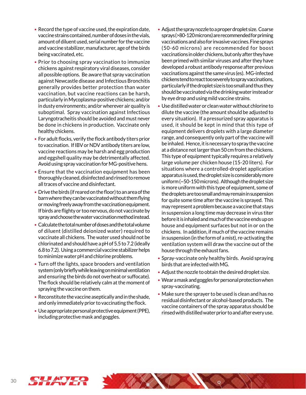- Record the type of vaccine used, the expiration date, vaccine strains contained, number of doses in the vials, amount of diluent used, serial number for the vaccine and vaccine stabilizer, manufacturer, age of the birds being vaccinated, etc.
- Prior to choosing spray vaccination to immunize chickens against respiratory viral diseases, consider all possible options. Be aware that spray vaccination against Newcastle disease and Infectious Bronchitis generally provides better protection than water vaccination, but vaccine reactions can be harsh, particularly in Mycoplasma-positive chickens; and/or in dusty environments; and/or wherever air quality is suboptimal. Spray vaccination against Infectious Laryngotracheitis should be avoided and must never be done in chickens in production. Vaccinate only healthy chickens.
- For adult flocks, verify the flock antibody titers prior to vaccination. If IBV or NDV antibody titers are low, vaccine reactions may be harsh and egg production and eggshell quality may be detrimentally affected. Avoid using spray vaccination for MG-positive hens.
- Ensure that the vaccination equipment has been thoroughly cleaned, disinfected and rinsed to remove all traces of vaccine and disinfectant.
- Drive the birds (if reared on the floor) to an area of the barn where they can be vaccinated without them flying or moving freely away from the vaccination equipment. If birds are flighty or too nervous, do not vaccinate by spray and choose the water vaccination method instead.
- Calculate the total number of doses and the total volume of diluent (distilled deionized water) required to vaccinate all chickens. The water used should not be chlorinated and should have a pH of 5.5 to 7.2 (ideally 6.8 to 7.2). Using a commercial vaccine stabilizer helps to minimize water pH and chlorine problems.
- Turn off the lights, space brooders and ventilation system (only briefly while leaving on minimal ventilation and ensuring the birds do not overheat or suffocate). The flock should be relatively calm at the moment of spraying the vaccine on them.
- Reconstitute the vaccine aseptically and in the shade, and only immediately prior to vaccinating the flock.
- Use appropriate personal protective equipment (PPE), including protective mask and goggles.
- Adjust the spray nozzle to a proper droplet size. Coarse sprays (>80-120 microns) are recommended for priming vaccinations and also for invasive vaccines. Fine sprays (50-60 microns) are recommended for boost vaccinations in older chickens, but only after they have been primed with similar viruses and after they have developed a robust antibody response after previous vaccinations against the same virus (es). MG-infected chickens tend to react too severely to spray vaccinations, particularly if the droplet size is too small and thus they should be vaccinated via the drinking water instead or by eye drop and using mild vaccine strains.
- Use distilled water or clean water without chlorine to dilute the vaccine (the amount should be adjusted to every situation). If a pressurized spray apparatus is used, it should be kept in mind that this type of equipment delivers droplets with a large diameter range, and consequently only part of the vaccine will be inhaled. Hence, it is necessary to spray the vaccine at a distance not larger than 50 cm from the chickens. This type of equipment typically requires a relatively large volume per chicken house (15-20 liters). For situations where a controlled-droplet application apparatus is used, the droplet size is considerably more uniform (~50-150 microns). Although the droplet size is more uniform with this type of equipment, some of the droplets are too small and may remain in suspension for quite some time after the vaccine is sprayed. This may represent a problem because a vaccine that stays in suspension a long time may decrease in virus titer before it is inhaled and much of the vaccine ends up on house and equipment surfaces but not in or on the chickens. In addition, if much of the vaccine remains in suspension (in the form of a mist), re-activating the ventilation system will draw the vaccine out of the house through the exhaust fans.
- Spray-vaccinate only healthy birds. Avoid spraying birds that are infected with MG.
- Adjust the nozzle to obtain the desired droplet size.
- Wear a mask and goggles for personal protection when spray-vaccinating.
- Make sure the sprayer to be used is clean and has no residual disinfectant or alcohol-based products. The vaccine containers of the spray apparatus should be rinsed with distilled water prior to and after every use.

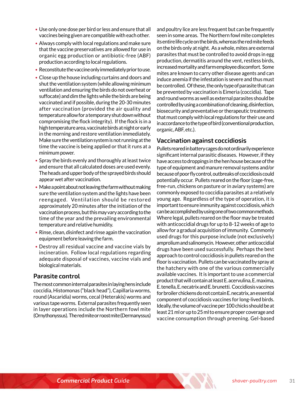- Use only one dose per bird or less and ensure that all vaccines being given are compatible with each other.
- Always comply with local regulations and make sure that the vaccine preservatives are allowed for use in organic egg production or antibiotic-free (ABF) production according to local regulations.
- Reconstitute the vaccine only immediately prior to use.
- Close up the house including curtains and doors and shut the ventilation system (while allowing minimum ventilation and ensuring the birds do not overheat or suffocate) and dim the lights while the birds are being vaccinated and if possible, during the 20-30 minutes after vaccination (provided the air quality and temperature allow for a temporary shut down without compromising the flock integrity). If the flock is in a high temperature area, vaccinate birds at night or early in the morning and restore ventilation immediately. Make sure the ventilation system is not running at the time the vaccine is being applied or that it runs at a minimum power.
- Spray the birds evenly and thoroughly at least twice and ensure that all calculated doses are used evenly. The heads and upper body of the sprayed birds should appear wet after vaccination.
- Make a point about not leaving the farm without making sure the ventilation system and the lights have been reengaged. Ventilation should be restored approximately 20 minutes after the initiation of the vaccination process, but this may vary according to the time of the year and the prevailing environmental temperature and relative humidity.
- Rinse, clean, disinfect and rinse again the vaccination equipment before leaving the farm.
- Destroy all residual vaccine and vaccine vials by incineration. Follow local regulations regarding adequate disposal of vaccines, vaccine vials and biological materials.

#### **Parasite control**

The most common internal parasites in laying hens include coccidia, Histomonas ("black head"), Capillaria worms, round (Ascaridia) worms, cecal (Heterakis) worms and various tape worms. External parasites frequently seen in layer operations include the Northern fowl mite (Ornythonyssus). The red mite or roost mite (Dermanyssus)

and poultry lice are less frequent but can be frequently seen in some areas. The Northern fowl mite completes its entire life cycle on the birds, whereas the red mite feeds on the birds only at night. As a whole, mites are external parasites that must be controlled to avoid drops in egg production, dermatitis around the vent, restless birds, increased mortality and farm employee discomfort. Some mites are known to carry other disease agents and can induce anemia if the infestation is severe and thus must be controlled. Of these, the only type of parasite that can be prevented by vaccination is Eimeria (coccidia). Tape and round worms as well as external parasites should be controlled by using a combination of cleaning, disinfection, biosecurity and preventative or therapeutic treatments that must comply with local regulations for their use and in accordance to the type of bird (conventional production, organic, ABF, etc.).

#### **Vaccination against coccidiosis**

Pullets reared in battery cages do not ordinarily experience significant internal parasitic diseases. However, if they have access to droppings in the hen house because of the type of equipment and manure removal systems and/or because of poor fly control, outbreaks of coccidiosis could potentially occur. Pullets reared on the floor (cage-free, free-run, chickens on pasture or in aviary systems) are commonly exposed to coccidia parasites at a relatively young age. Regardless of the type of operation, it is important to ensure immunity against coccidiosis, which can be accomplished by using one of two common methods. Where legal, pullets reared on the floor may be treated with anticoccidial drugs for up to 8-12 weeks of age to allow for a gradual acquisition of immunity. Commonly used drugs for this purpose include (not exclusively) amprolium and salinomycin. However, other anticoccidial drugs have been used successfully. Perhaps the best approach to control coccidiosis in pullets reared on the floor is vaccination. Pullets can be vaccinated by spray at the hatchery with one of the various commercially available vaccines. It is important to use a commercial product that will contain at least E. acervulina, E. maxima, E. tenella, E. necatrix and E. brunetti. Coccidiosis vaccines for broiler chickens do not contain E. necatrix, an essential component of coccidiosis vaccines for long-lived birds. Ideally, the volume of vaccine per 100 chicks should be at least 21 ml or up to 25 ml to ensure proper coverage and vaccine consumption through preening. Gel-based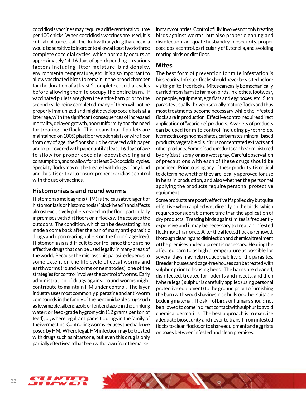coccidiosis vaccines may require a different total volume per 100 chicks. When coccidiosis vaccines are used, it is critical not to medicate the flock with any drug that coccidia would be sensitive to in order to allow at least two to three complete coccidial cycles, which normally occurs at approximately 14-16 days of age, depending on various factors including litter moisture, bird density, environmental temperature, etc. It is also important to allow vaccinated birds to remain in the brood chamber for the duration of at least 2 complete coccidial cycles before allowing them to occupy the entire barn. If vaccinated pullets are given the entire barn prior to the second cycle being completed, many of them will not be properly immunized and might develop coccidiosis at a later age, with the significant consequences of increased mortality, delayed growth, poor uniformity and the need for treating the flock. This means that if pullets are maintained on 100% plastic or wooden slats or wire floor from day of age, the floor should be covered with paper and kept covered with paper until at least 16 days of age to allow for proper coccidial oocyst cycling and consumption, and to allow for at least 2-3 coccidial cycles. Specialty flocks may not be treated with drugs of any kind and thus it is critical to ensure proper coccidiosis control with the use of vaccines.

#### **Histomoniasis and round worms**

Histomonas meleagridis (HM) is the causative agent of histomoniasis or histomonosis ("black head") and affects almost exclusively pullets reared on the floor, particularly in premises with dirt floors or in flocks with access to the outdoors. The condition, which can be devastating, has made a come back after the ban of many anti-parasitic drugs and upon rearing pullets on the floor (cage-free). Histomoniasis is difficult to control since there are no effective drugs that can be used legally in many areas of the world. Because the microscopic parasite depends to some extent on the life cycle of cecal worms and earthworms (round worms or nematodes), one of the strategies for control involves the control of worms. Early administration of drugs against round worms might contribute to maintain HM under control. The layer industry uses most commonly piperazine and anti-worm compounds in the family of the benzimidazole drugs such as levamizole, albendazole or fenbendazole in the drinking water; or feed-grade hygromycin (12 grams per ton of feed); or, where legal, antiparasitic drugs in the family of the ivermectins. Controlling worms reduces the challenge posed by HM. Where legal, HM infection may be treated with drugs such as nitarsone, but even this drug is only partially effective and has been withdrawn from the market

in many countries. Control of HM involves not only treating birds against worms, but also proper cleaning and disinfection, adequate husbandry, biosecurity, proper coccidosis control, particularly of E. tenella, and avoiding rearing birds on dirt floor.

#### **Mites**

The best form of prevention for mite infestation is biosecurity. Infested flocks should never be visited before visiting mite-free flocks. Mites can easily be mechanically carried from farm to farm on birds, in clothes, footwear, on people, equipment, egg flats and egg boxes, etc. Such parasites usually thrive in sexually mature flocks and thus most treatments become necessary while the infested flocks are in production. Effective control requires direct application of "acaricide" products. A variety of products can be used for mite control, including pyrethroids, ivermectin, organophosphates, carbamates, mineral-based products, vegetable oils, citrus concentrated extracts and other products. Some of such products can be administered by dry (dust) spray, or as a wet spray. Careful observation of precautions with each of these drugs should be practiced. Prior to using any of these products it is critical to determine whether they are locally approved for use in hens in production, and also whether the personnel applying the products require personal protective equipment.

Some products are poorly effective if applied dry but quite effective when applied wet directly on the birds, which requires considerable more time than the application of dry products. Treating birds against mites is frequently expensive and it may be necessary to treat an infested flock more than once. After the affected flock is removed, thorough cleaning and disinfection and chemical treatment of the premises and equipment is necessary. Heating the affected barn to as high a temperature as possible for several days may help reduce viability of the parasites. Breeder houses and cage-free houses can be treated with sulphur prior to housing hens. The barns are cleaned, disinfected, treated for rodents and insects, and then (where legal) sulphur is carefully applied (using personal protective equipment) to the ground prior to furnishing the barn with wood shavings, rice hulls or other suitable bedding material. The skin of birds or humans should not be allowed to come in direct contact with sulphur to avoid chemical dermatitis. The best approach is to exercise adequate biosecurity and never to transit from infested flocks to clean flocks, or to share equipment and egg flats or boxes between infested and clean premises.

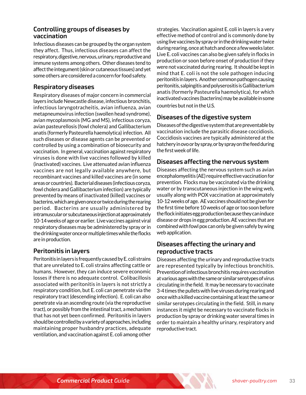## **Controlling groups of diseases by vaccination**

Infectious diseases can be grouped by the organ system they affect. Thus, infectious diseases can affect the respiratory, digestive, nervous, urinary, reproductive and immune systems among others. Other diseases tend to affect the integument (skin or cutaneous tissues) and yet some others are considered a concern for food safety.

## **Respiratory diseases**

Respiratory diseases of major concern in commercial layers include Newcastle disease, infectious bronchitis, infectious laryngotracheitis, avian influenza, avian metapneumovirus infection (swollen head syndrome), avian mycoplasmosis (MG and MS), infectious coryza, avian pasteurellosis (fowl cholera) and Gallibacterium anatis (formerly Pasteurella haemolytica) infection. All such diseases or disease agents can be prevented or controlled by using a combination of biosecurity and vaccination. In general, vaccination against respiratory viruses is done with live vaccines followed by killed (inactivated) vaccines. Live attenuated avian influenza vaccines are not legally available anywhere, but recombinant vaccines and killed vaccines are (in some areas or countries). Bacterial diseases (infectious coryza, fowl cholera and Gallibacterium infection) are typically prevented by means of inactivated (killed) vaccines or bacterins, which are given once or twice during the rearing period. Bacterins are usually administered by intramuscular or subcutaneous injection at approximately 10-14 weeks of age or earlier. Live vaccines against viral respiratory diseases may be administered by spray or in the drinking water once or multiple times while the flocks are in production.

## **Peritonitis in layers**

Peritonitis in layers is frequently caused by E. coli strains that are unrelated to E. coli strains affecting cattle or humans. However, they can induce severe economic losses if there is no adequate control. Colibacillosis associated with peritonitis in layers is not strictly a respiratory condition, but E. coli can penetrate via the respiratory tract (descending infection). E. coli can also penetrate via an ascending route (via the reproductive tract), or possibly from the intestinal tract, a mechanism that has not yet been confirmed. Peritonitis in layers should be controlled by a variety of approaches, including maintaining proper husbandry practices, adequate ventilation, and vaccination against E. coli among other

strategies. Vaccination against E. coli in layers is a very effective method of control and is commonly done by using live vaccines by spray or in the drinking water twice during rearing, once at hatch and once a few weeks later. Live E. coli vaccines can also be given safely in flocks in production or soon before onset of production if they were not vaccinated during rearing. It should be kept in mind that E. coli is not the sole pathogen inducing peritonitis in layers. Another common pathogen causing peritonitis, salpingitis and polyserositis is Gallibacterium anatis (formerly Pasteurella haemolytica), for which inactivated vaccines (bacterins) may be available in some countries but not in the U.S.

## **Diseases of the digestive system**

Diseases of the digestive system that are preventable by vaccination include the parasitic disease coccidiosis. Coccidiosis vaccines are typically administered at the hatchery in ovo or by spray, or by spray on the feed during the first week of life.

## **Diseases affecting the nervous system**

Diseases affecting the nervous system such as avian encephalomyelitis (AE) require effective vaccination for prevention. Flocks may be vaccinated via the drinking water or by transcutaneous injection in the wing web, usually along with POX vaccination at approximately 10-12 weeks of age. AE vaccines should not be given for the first time before 10 weeks of age or too soon before the flock initiates egg production because they can induce disease or drops in egg production. AE vaccines that are combined with fowl pox can only be given safely by wing web application.

## **Diseases affecting the urinary and reproductive tracts**

Diseases affecting the urinary and reproductive tracts are represented typically by infectious bronchitis. Prevention of infectious bronchitis requires vaccination at various ages with the same or similar serotypes of virus circulating in the field. It may be necessary to vaccinate 3-4 times the pullets with live viruses during rearing and once with a killed vaccine containing at least the same or similar serotypes circulating in the field. Still, in many instances it might be necessary to vaccinate flocks in production by spray or drinking water several times in order to maintain a healthy urinary, respiratory and reproductive tract.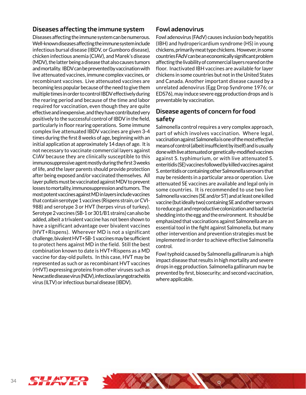## **Diseases affecting the immune system**

Diseases affecting the immune system can be numerous. Well-known diseases affecting the immune system include infectious bursal disease (IBDV, or Gumboro disease), chicken infectious anemia (CIAV), and Marek's disease (MDV), the latter being a disease that also causes tumors and mortality. IBDV can be prevented by vaccination with live attenuated vaccines, immune complex vaccines, or recombinant vaccines. Live attenuated vaccines are becoming less popular because of the need to give them multiple times in order to control IBDV effectively during the rearing period and because of the time and labor required for vaccination, even though they are quite effective and inexpensive, and they have contributed very positively to the successful control of IBDV in the field, particularly in floor rearing operations. Some immune complex live attenuated IBDV vaccines are given 3-4 times during the first 8 weeks of age, beginning with an initial application at approximately 14 days of age. It is not necessary to vaccinate commercial layers against CIAV because they are clinically susceptible to this immunosuppressive agent mostly during the first 3 weeks of life, and the layer parents should provide protection after being exposed and/or vaccinated themselves. All layer pullets must be vaccinated against MDV to prevent losses to mortality, immunosuppression and tumors. The most potent vaccines against MD in layers include vaccines that contain serotype 1 vaccines (Rispens strain, or CVI-988) and serotype 3 or HVT (herpes virus of turkey). Serotype 2 vaccines (SB-1 or 301/B1 strains) can also be added, albeit a trivalent vaccine has not been shown to have a significant advantage over bivalent vaccines (HVT+Rispens). Wherever MD is not a significant challenge, bivalent HVT+SB-1 vaccines may be sufficient to protect hens against MD in the field. Still the best combination known to date is HVT+Rispens as a MD vaccine for day-old pullets. In this case, HVT may be represented as such or as recombinant HVT vaccines (rHVT) expressing proteins from other viruses such as Newcastle disease virus (NDV), infectious laryngotracheitis virus (ILTV) or infectious bursal disease (IBDV).

## **Fowl adenovirus**

Fowl adenovirus (FAdV) causes inclusion body hepatitis (IBH) and hydropericardium syndrome (HS) in young chickens, primarily meat type chickens. However, in some countries FAdV can be an economically significant problem affecting the livability of commercial layers reared on the floor. Inactivated IBH vaccines are available for layer chickens in some countries but not in the United States and Canada. Another important disease caused by a unrelated adenovirus (Egg Drop Syndrome 1976; or EDS76), may induce severe egg production drops and is preventable by vaccination.

## **Disease agents of concern for food safety**

Salmonella control requires a very complex approach, part of which involves vaccination. Where legal, vaccination against Salmonella is one of the most effective means of control (albeit insufficient by itself) and is usually done with live attenuated or genetically-modified vaccines against S. typhimurium, or with live attenuated S. enteritidis (SE) vaccines followed by killed vaccines against S. enteritidis or containing other Salmonella serovars that may be residents in a particular area or operation. Live attenuated SE vaccines are available and legal only in some countries. It is recommended to use two live Salmonella vaccines (SE and/or ST) and at least one killed vaccine (but ideally two) containing SE and other serovars to reduce gut and reproductive colonization and bacterial shedding into the egg and the environment. It should be emphasized that vaccinations against Salmonella are an essential tool in the fight against Salmonella, but many other intervention and prevention strategies must be implemented in order to achieve effective Salmonella control.

Fowl typhoid caused by Salmonella gallinarum is a high impact disease that results in high mortality and severe drops in egg production. Salmonella gallinarum may be prevented by first, biosecurity; and second vaccination, where applicable.

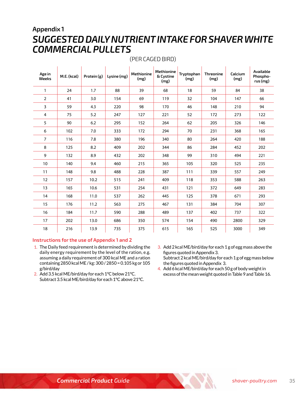# **Appendix 1** *SUGGESTED DAILY NUTRIENT INTAKE FOR SHAVER WHITE COMMERCIAL PULLETS*

| Age in<br>Weeks | M.E. (kcal) | Protein(g) | Lysine (mg) | <b>Methionine</b><br>(mg) | <b>Methionine</b><br>& Cystine<br>(mg) | Tryptophan<br>(mg) | <b>Threonine</b><br>(mg) | Calcium<br>(mg) | Available<br>Phospho-<br>rus(mg) |
|-----------------|-------------|------------|-------------|---------------------------|----------------------------------------|--------------------|--------------------------|-----------------|----------------------------------|
| 1               | 24          | 1.7        | 88          | 39                        | 68                                     | 18                 | 59                       | 84              | 38                               |
| $\overline{2}$  | 41          | 3.0        | 154         | 69                        | 119                                    | 32                 | 104                      | 147             | 66                               |
| 3               | 59          | 4.3        | 220         | 98                        | 170                                    | 46                 | 148                      | 210             | 94                               |
| 4               | 75          | 5.2        | 247         | 127                       | 221                                    | 52                 | 172                      | 273             | 122                              |
| 5               | 90          | 6.2        | 295         | 152                       | 264                                    | 62                 | 205                      | 326             | 146                              |
| 6               | 102         | 7.0        | 333         | 172                       | 294                                    | 70                 | 231                      | 368             | 165                              |
| $\overline{7}$  | 116         | 7.8        | 380         | 196                       | 340                                    | 80                 | 264                      | 420             | 188                              |
| 8               | 125         | 8.2        | 409         | 202                       | 344                                    | 86                 | 284                      | 452             | 202                              |
| 9               | 132         | 8.9        | 432         | 202                       | 348                                    | 99                 | 310                      | 494             | 221                              |
| 10              | 140         | 9.4        | 460         | 215                       | 365                                    | 105                | 320                      | 525             | 235                              |
| 11              | 148         | 9.8        | 488         | 228                       | 387                                    | 111                | 339                      | 557             | 249                              |
| 12              | 157         | 10.2       | 515         | 241                       | 409                                    | 118                | 353                      | 588             | 263                              |
| 13              | 165         | 10.6       | 531         | 254                       | 431                                    | 121                | 372                      | 649             | 283                              |
| 14              | 168         | 11.0       | 537         | 262                       | 445                                    | 125                | 378                      | 671             | 293                              |
| 15              | 176         | 11.2       | 563         | 275                       | 467                                    | 131                | 384                      | 704             | 307                              |
| 16              | 184         | 11.7       | 590         | 288                       | 489                                    | 137                | 402                      | 737             | 322                              |
| 17              | 202         | 13.0       | 686         | 350                       | 574                                    | 154                | 490                      | 2800            | 329                              |
| 18              | 216         | 13.9       | 735         | 375                       | 615                                    | 165                | 525                      | 3000            | 349                              |

#### (PER CAGED BIRD)

#### **Instructions for the use of Appendix 1 and 2**

- 1. The Daily feed requirement is determined by dividing the daily energy requirement by the level of the ration, e.g. assuming a daily requirement of 300 kcal ME and a ration containing 2850 kcal ME / kg: 300 / 2850 = 0.105 kg or 105 g/bird/day
- 2. Add 3.5 kcal ME/bird/day for each 1°C below 21°C. Subtract 3.5 kcal ME/bird/day for each 1°C above 21°C.
- 3. Add 2 kcal ME/bird/day for each 1 g of egg mass above the figures quoted in Appendix 3. Subtract 2 kcal ME/bird/day for each 1 g of egg mass below the figures quoted in Appendix 3.
- 4. Add 6 kcal ME/bird/day for each 50 g of body weight in excess of the mean weight quoted in Table 9 and Table 16.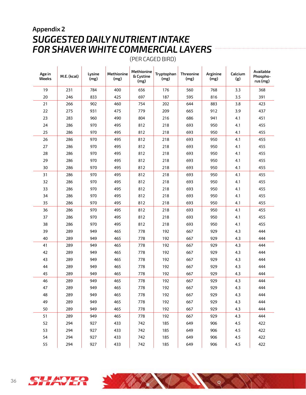# **Appendix 2** *SUGGESTED DAILY NUTRIENT INTAKE FOR SHAVER WHITE COMMERCIAL LAYERS*

| Age in<br>Weeks | M.E. (kcal) | Lysine<br>(mg) | <b>Methionine</b><br>(mg) | <b>Methionine</b><br>& Cystine<br>(mg) | Tryptophan<br>(mg) | <b>Threonine</b><br>(mg) | Arginine<br>(mg) | Calcium<br>(g) | Available<br>Phospho-<br>rus(mg) |
|-----------------|-------------|----------------|---------------------------|----------------------------------------|--------------------|--------------------------|------------------|----------------|----------------------------------|
| 19              | 231         | 784            | 400                       | 656                                    | 176                | 560                      | 768              | 3.3            | 368                              |
| 20              | 246         | 833            | 425                       | 697                                    | 187                | 595                      | 816              | 3.5            | 391                              |
| 21              | 266         | 902            | 460                       | 754                                    | 202                | 644                      | 883              | 3.8            | 423                              |
| 22              | 275         | 931            | 475                       | 779                                    | 209                | 665                      | 912              | 3.9            | 437                              |
| 23              | 283         | 960            | 490                       | 804                                    | 216                | 686                      | 941              | 4.1            | 451                              |
| 24              | 286         | 970            | 495                       | 812                                    | 218                | 693                      | 950              | 4.1            | 455                              |
| 25              | 286         | 970            | 495                       | 812                                    | 218                | 693                      | 950              | 4.1            | 455                              |
| 26              | 286         | 970            | 495                       | 812                                    | 218                | 693                      | 950              | 4.1            | 455                              |
| 27              | 286         | 970            | 495                       | 812                                    | 218                | 693                      | 950              | 4.1            | 455                              |
| 28              | 286         | 970            | 495                       | 812                                    | 218                | 693                      | 950              | 4.1            | 455                              |
| 29              | 286         | 970            | 495                       | 812                                    | 218                | 693                      | 950              | 4.1            | 455                              |
| 30              | 286         | 970            | 495                       | 812                                    | 218                | 693                      | 950              | 4.1            | 455                              |
| 31              | 286         | 970            | 495                       | 812                                    | 218                | 693                      | 950              | 4.1            | 455                              |
| 32              | 286         | 970            | 495                       | 812                                    | 218                | 693                      | 950              | 4.1            | 455                              |
| 33              | 286         | 970            | 495                       | 812                                    | 218                | 693                      | 950              | 4.1            | 455                              |
| 34              | 286         | 970            | 495                       | 812                                    | 218                | 693                      | 950              | 4.1            | 455                              |
| 35              | 286         | 970            | 495                       | 812                                    | 218                | 693                      | 950              | 4.1            | 455                              |
| 36              | 286         | 970            | 495                       | 812                                    | 218                | 693                      | 950              | 4.1            | 455                              |
| 37              | 286         | 970            | 495                       | 812                                    | 218                | 693                      | 950              | 4.1            | 455                              |
| 38              | 286         | 970            | 495                       | 812                                    | 218                | 693                      | 950              | 4.1            | 455                              |
| 39              | 289         | 949            | 465                       | 778                                    | 192                | 667                      | 929              | 4.3            | 444                              |
| 40              | 289         | 949            | 465                       | 778                                    | 192                | 667                      | 929              | 4.3            | 444                              |
| 41              | 289         | 949            | 465                       | 778                                    | 192                | 667                      | 929              | 4.3            | 444                              |
| 42              | 289         | 949            | 465                       | 778                                    | 192                | 667                      | 929              | 4.3            | 444                              |
| 43              | 289         | 949            | 465                       | 778                                    | 192                | 667                      | 929              | 4.3            | 444                              |
| 44              | 289         | 949            | 465                       | 778                                    | 192                | 667                      | 929              | 4.3            | 444                              |
| 45              | 289         | 949            | 465                       | 778                                    | 192                | 667                      | 929              | 4.3            | 444                              |
| 46              | 289         | 949            | 465                       | 778                                    | 192                | 667                      | 929              | 4.3            | 444                              |
| 47              | 289         | 949            | 465                       | 778                                    | 192                | 667                      | 929              | 4.3            | 444                              |
| 48              | 289         | 949            | 465                       | 778                                    | 192                | 667                      | 929              | 4.3            | 444                              |
| 49              | 289         | 949            | 465                       | 778                                    | 192                | 667                      | 929              | 4.3            | 444                              |
| 50              | 289         | 949            | 465                       | 778                                    | 192                | 667                      | 929              | 4.3            | 444                              |
| 51              | 289         | 949            | 465                       | 778                                    | 192                | 667                      | 929              | 4.3            | 444                              |
| 52              | 294         | 927            | 433                       | 742                                    | 185                | 649                      | 906              | 4.5            | 422                              |
| 53              | 294         | 927            | 433                       | 742                                    | 185                | 649                      | 906              | 4.5            | 422                              |
| 54              | 294         | 927            | 433                       | 742                                    | 185                | 649                      | 906              | 4.5            | 422                              |
| 55              | 294         | 927            | 433                       | 742                                    | 185                | 649                      | 906              | 4.5            | 422                              |

(PER CAGED BIRD)

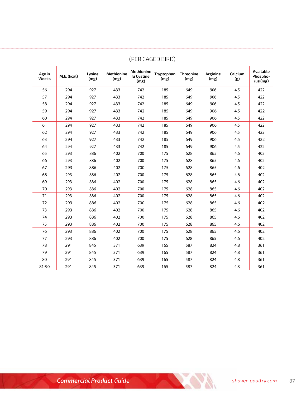| Age in<br>Weeks | M.E. (kcal) | Lysine<br>(mg) | <b>Methionine</b><br>(mg) | <b>Methionine</b><br>& Cystine<br>(mg) | Tryptophan<br>(mg) | <b>Threonine</b><br>(mg) | Arginine<br>(mg) | Calcium<br>(g) | Available<br>Phospho-<br>rus(mg) |
|-----------------|-------------|----------------|---------------------------|----------------------------------------|--------------------|--------------------------|------------------|----------------|----------------------------------|
| 56              | 294         | 927            | 433                       | 742                                    | 185                | 649                      | 906              | 4.5            | 422                              |
| 57              | 294         | 927            | 433                       | 742                                    | 185                | 649                      | 906              | 4.5            | 422                              |
| 58              | 294         | 927            | 433                       | 742                                    | 185                | 649                      | 906              | 4.5            | 422                              |
| 59              | 294         | 927            | 433                       | 742                                    | 185                | 649                      | 906              | 4.5            | 422                              |
| 60              | 294         | 927            | 433                       | 742                                    | 185                | 649                      | 906              | 4.5            | 422                              |
| 61              | 294         | 927            | 433                       | 742                                    | 185                | 649                      | 906              | 4.5            | 422                              |
| 62              | 294         | 927            | 433                       | 742                                    | 185                | 649                      | 906              | 4.5            | 422                              |
| 63              | 294         | 927            | 433                       | 742                                    | 185                | 649                      | 906              | 4.5            | 422                              |
| 64              | 294         | 927            | 433                       | 742                                    | 185                | 649                      | 906              | 4.5            | 422                              |
| 65              | 293         | 886            | 402                       | 700                                    | 175                | 628                      | 865              | 4.6            | 402                              |
| 66              | 293         | 886            | 402                       | 700                                    | 175                | 628                      | 865              | 4.6            | 402                              |
| 67              | 293         | 886            | 402                       | 700                                    | 175                | 628                      | 865              | 4.6            | 402                              |
| 68              | 293         | 886            | 402                       | 700                                    | 175                | 628                      | 865              | 4.6            | 402                              |
| 69              | 293         | 886            | 402                       | 700                                    | 175                | 628                      | 865              | 4.6            | 402                              |
| 70              | 293         | 886            | 402                       | 700                                    | 175                | 628                      | 865              | 4.6            | 402                              |
| 71              | 293         | 886            | 402                       | 700                                    | 175                | 628                      | 865              | 4.6            | 402                              |
| 72              | 293         | 886            | 402                       | 700                                    | 175                | 628                      | 865              | 4.6            | 402                              |
| 73              | 293         | 886            | 402                       | 700                                    | 175                | 628                      | 865              | 4.6            | 402                              |
| 74              | 293         | 886            | 402                       | 700                                    | 175                | 628                      | 865              | 4.6            | 402                              |
| 75              | 293         | 886            | 402                       | 700                                    | 175                | 628                      | 865              | 4.6            | 402                              |
| 76              | 293         | 886            | 402                       | 700                                    | 175                | 628                      | 865              | 4.6            | 402                              |
| 77              | 293         | 886            | 402                       | 700                                    | 175                | 628                      | 865              | 4.6            | 402                              |
| 78              | 291         | 845            | 371                       | 639                                    | 165                | 587                      | 824              | 4.8            | 361                              |
| 79              | 291         | 845            | 371                       | 639                                    | 165                | 587                      | 824              | 4.8            | 361                              |
| 80              | 291         | 845            | 371                       | 639                                    | 165                | 587                      | 824              | 4.8            | 361                              |
| 81-90           | 291         | 845            | 371                       | 639                                    | 165                | 587                      | 824              | 4.8            | 361                              |

(PER CAGED BIRD)

**STATISTICS**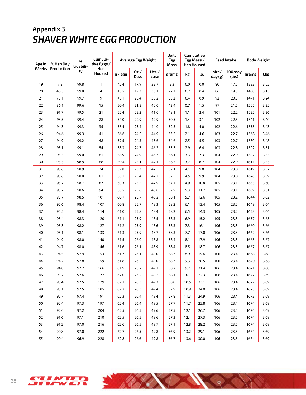# **Appendix 3** *SHAVER WHITE EGG PRODUCTION*

| Age in | % Hen Day  | %<br>Livabili- | Cumula-<br>tive Eggs / | Average Egg Weight |                 |                | Daily<br>Egg<br>Mass | Egg Mass / | Cumulative<br>Hen Housed |                 | <b>Feed Intake</b>  | <b>Body Weight</b> |            |
|--------|------------|----------------|------------------------|--------------------|-----------------|----------------|----------------------|------------|--------------------------|-----------------|---------------------|--------------------|------------|
| Weeks  | Production | ty             | Hen<br>Housed          | g / egg            | $0z$ ./<br>Doz. | Lbs. /<br>case | grams                | kg         | lb.                      | bird/<br>day(g) | $100$ /day<br>(lbs) | grams              | <b>Lbs</b> |
| 19     | 7.8        | 99.8           | 1                      | 42.4               | 17.9            | 33.7           | 3.3                  | 0.0        | 0.0                      | 80              | 17.6                | 1383               | 3.05       |
| 20     | 48.5       | 99.8           | $\overline{4}$         | 45.5               | 19.3            | 36.1           | 22.1                 | 0.2        | 0.4                      | 86              | 19.0                | 1430               | 3.15       |
| 21     | 73.1       | 99.7           | 9                      | 48.1               | 20.4            | 38.2           | 35.2                 | 0.4        | 0.9                      | 92              | 20.3                | 1471               | 3.24       |
| 22     | 86.1       | 99.6           | 15                     | 50.4               | 21.3            | 40.0           | 43.4                 | 0.7        | 1.5                      | 97              | 21.5                | 1505               | 3.32       |
| 23     | 91.7       | 99.5           | 21                     | 52.4               | 22.2            | 41.6           | 48.1                 | 1.1        | 2.4                      | 101             | 22.2                | 1525               | 3.36       |
| 24     | 93.5       | 99.4           | 28                     | 54.0               | 22.9            | 42.9           | 50.5                 | 1.4        | 3.1                      | 102             | 22.5                | 1541               | 3.40       |
| 25     | 94.3       | 99.3           | 35                     | 55.4               | 23.4            | 44.0           | 52.3                 | 1.8        | 4.0                      | 102             | 22.6                | 1555               | 3.43       |
| 26     | 94.6       | 99.3           | 41                     | 56.6               | 24.0            | 44.9           | 53.5                 | 2.1        | 4.6                      | 103             | 22.7                | 1568               | 3.46       |
| 27     | 94.9       | 99.2           | 48                     | 57.5               | 24.3            | 45.6           | 54.6                 | 2.5        | 5.5                      | 103             | 22.7                | 1580               | 3.48       |
| 28     | 95.1       | 99.1           | 54                     | 58.3               | 24.7            | 46.3           | 55.5                 | 2.9        | 6.4                      | 103             | 22.8                | 1592               | 3.51       |
| 29     | 95.3       | 99.0           | 61                     | 58.9               | 24.9            | 46.7           | 56.1                 | 3.3        | 7.3                      | 104             | 22.9                | 1602               | 3.53       |
| 30     | 95.5       | 98.9           | 68                     | 59.4               | 25.1            | 47.1           | 56.7                 | 3.7        | 8.2                      | 104             | 22.9                | 1611               | 3.55       |
| 31     | 95.6       | 98.9           | 74                     | 59.8               | 25.3            | 47.5           | 57.1                 | 4.1        | 9.0                      | 104             | 23.0                | 1619               | 3.57       |
| 32     | 95.6       | 98.8           | 81                     | 60.1               | 25.4            | 47.7           | 57.5                 | 4.5        | 9.9                      | 104             | 23.0                | 1626               | 3.59       |
| 33     | 95.7       | 98.7           | 87                     | 60.3               | 25.5            | 47.9           | 57.7                 | 4.9        | 10.8                     | 105             | 23.1                | 1633               | 3.60       |
| 34     | 95.7       | 98.6           | 94                     | 60.5               | 25.6            | 48.0           | 57.9                 | 5.3        | 11.7                     | 105             | 23.1                | 1639               | 3.61       |
| 35     | 95.7       | 98.5           | 101                    | 60.7               | 25.7            | 48.2           | 58.1                 | 5.7        | 12.6                     | 105             | 23.2                | 1644               | 3.62       |
| 36     | 95.6       | 98.4           | 107                    | 60.8               | 25.7            | 48.3           | 58.2                 | 6.1        | 13.4                     | 105             | 23.2                | 1649               | 3.64       |
| 37     | 95.5       | 98.4           | 114                    | 61.0               | 25.8            | 48.4           | 58.2                 | 6.5        | 14.3                     | 105             | 23.2                | 1653               | 3.64       |
| 38     | 95.4       | 98.3           | 120                    | 61.1               | 25.9            | 48.5           | 58.3                 | 6.9        | 15.2                     | 105             | 23.3                | 1657               | 3.65       |
| 39     | 95.3       | 98.2           | 127                    | 61.2               | 25.9            | 48.6           | 58.3                 | 7.3        | 16.1                     | 106             | 23.3                | 1660               | 3.66       |
| 40     | 95.1       | 98.1           | 133                    | 61.3               | 25.9            | 48.7           | 58.3                 | 7.7        | 17.0                     | 106             | 23.3                | 1662               | 3.66       |
| 41     | 94.9       | 98.0           | 140                    | 61.5               | 26.0            | 48.8           | 58.4                 | 8.1        | 17.9                     | 106             | 23.3                | 1665               | 3.67       |
| 42     | 94.7       | 98.0           | 146                    | 61.6               | 26.1            | 48.9           | 58.4                 | 8.5        | 18.7                     | 106             | 23.3                | 1667               | 3.67       |
| 43     | 94.5       | 97.9           | 153                    | 61.7               | 26.1            | 49.0           | 58.3                 | 8.9        | 19.6                     | 106             | 23.4                | 1668               | 3.68       |
| 44     | 94.2       | 97.8           | 159                    | 61.8               | 26.2            | 49.0           | 58.3                 | 9.3        | 20.5                     | 106             | 23.4                | 1670               | 3.68       |
| 45     | 94.0       | 97.7           | 166                    | 61.9               | 26.2            | 49.1           | 58.2                 | 9.7        | 21.4                     | 106             | 23.4                | 1671               | 3.68       |
| 46     | 93.7       | 97.6           | 172                    | 62.0               | 26.2            | 49.2           | 58.1                 | 10.1       | 22.3                     | 106             | 23.4                | 1672               | 3.69       |
| 47     | 93.4       | 97.5           | 179                    | 62.1               | 26.3            | 49.3           | 58.0                 | 10.5       | 23.1                     | 106             | 23.4                | 1672               | 3.69       |
| 48     | 93.1       | 97.5           | 185                    | 62.2               | 26.3            | 49.4           | 57.9                 | 10.9       | 24.0                     | 106             | 23.4                | 1673               | 3.69       |
| 49     | 92.7       | 97.4           | 191                    | 62.3               | 26.4            | 49.4           | 57.8                 | 11.3       | 24.9                     | 106             | 23.4                | 1673               | 3.69       |
| 50     | 92.4       | 97.3           | 197                    | 62.4               | 26.4            | 49.5           | 57.7                 | 11.7       | 25.8                     | 106             | 23.4                | 1674               | 3.69       |
| 51     | 92.0       | 97.2           | 204                    | 62.5               | 26.5            | 49.6           | 57.5                 | 12.1       | 26.7                     | 106             | 23.5                | 1674               | 3.69       |
| 52     | 91.6       | 97.1           | 210                    | 62.5               | 26.5            | 49.6           | 57.3                 | 12.4       | 27.3                     | 106             | 23.5                | 1674               | 3.69       |
| 53     | 91.2       | 97.0           | 216                    | 62.6               | 26.5            | 49.7           | 57.1                 | 12.8       | 28.2                     | 106             | 23.5                | 1674               | 3.69       |
| 54     | 90.8       | 97.0           | 222                    | 62.7               | 26.5            | 49.8           | 56.9                 | 13.2       | 29.1                     | 106             | 23.5                | 1674               | 3.69       |
| 55     | 90.4       | 96.9           | 228                    | 62.8               | 26.6            | 49.8           | 56.7                 | 13.6       | 30.0                     | 106             | 23.5                | 1674               | 3.69       |

 $\bullet$ 

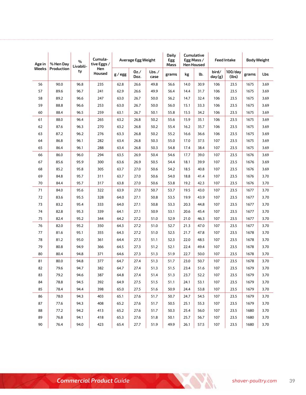| Age in | % Hen Day  | $\%$<br>Livabili- | Cumula-<br>tive Eggs / |         | Average Egg Weight |                | Daily<br>Egg<br>Mass |      | Cumulative<br>Egg Mass /<br><b>Hen Housed</b> |                 | <b>Feed Intake</b>  |       | <b>Body Weight</b> |
|--------|------------|-------------------|------------------------|---------|--------------------|----------------|----------------------|------|-----------------------------------------------|-----------------|---------------------|-------|--------------------|
| Weeks  | Production | ty                | Hen<br>Housed          | g / egg | $0z$ ./<br>Doz.    | Lbs. /<br>case | grams                | kg   | lb.                                           | bird/<br>day(g) | $100$ /day<br>(lbs) | grams | Lbs                |
| 56     | 90.0       | 96.8              | 235                    | 62.8    | 26.6               | 49.8           | 56.6                 | 14.0 | 30.9                                          | 106             | 23.5                | 1675  | 3.69               |
| 57     | 89.6       | 96.7              | 241                    | 62.9    | 26.6               | 49.9           | 56.4                 | 14.4 | 31.7                                          | 106             | 23.5                | 1675  | 3.69               |
| 58     | 89.2       | 96.6              | 247                    | 63.0    | 26.7               | 50.0           | 56.2                 | 14.7 | 32.4                                          | 106             | 23.5                | 1675  | 3.69               |
| 59     | 88.8       | 96.6              | 253                    | 63.0    | 26.7               | 50.0           | 56.0                 | 15.1 | 33.3                                          | 106             | 23.5                | 1675  | 3.69               |
| 60     | 88.4       | 96.5              | 259                    | 63.1    | 26.7               | 50.1           | 55.8                 | 15.5 | 34.2                                          | 106             | 23.5                | 1675  | 3.69               |
| 61     | 88.0       | 96.4              | 265                    | 63.2    | 26.8               | 50.2           | 55.6                 | 15.9 | 35.1                                          | 106             | 23.5                | 1675  | 3.69               |
| 62     | 87.6       | 96.3              | 270                    | 63.2    | 26.8               | 50.2           | 55.4                 | 16.2 | 35.7                                          | 106             | 23.5                | 1675  | 3.69               |
| 63     | 87.2       | 96.2              | 276                    | 63.3    | 26.8               | 50.2           | 55.2                 | 16.6 | 36.6                                          | 106             | 23.5                | 1675  | 3.69               |
| 64     | 86.8       | 96.1              | 282                    | 63.4    | 26.8               | 50.3           | 55.0                 | 17.0 | 37.5                                          | 107             | 23.5                | 1675  | 3.69               |
| 65     | 86.4       | 96.1              | 288                    | 63.4    | 26.8               | 50.3           | 54.8                 | 17.4 | 38.4                                          | 107             | 23.5                | 1675  | 3.69               |
| 66     | 86.0       | 96.0              | 294                    | 63.5    | 26.9               | 50.4           | 54.6                 | 17.7 | 39.0                                          | 107             | 23.5                | 1676  | 3.69               |
| 67     | 85.6       | 95.9              | 300                    | 63.6    | 26.9               | 50.5           | 54.4                 | 18.1 | 39.9                                          | 107             | 23.5                | 1676  | 3.69               |
| 68     | 85.2       | 95.8              | 305                    | 63.7    | 27.0               | 50.6           | 54.2                 | 18.5 | 40.8                                          | 107             | 23.5                | 1676  | 3.69               |
| 69     | 84.8       | 95.7              | 311                    | 63.7    | 27.0               | 50.6           | 54.0                 | 18.8 | 41.4                                          | 107             | 23.5                | 1676  | 3.70               |
| 70     | 84.4       | 95.7              | 317                    | 63.8    | 27.0               | 50.6           | 53.8                 | 19.2 | 42.3                                          | 107             | 23.5                | 1676  | 3.70               |
| 71     | 84.0       | 95.6              | 322                    | 63.9    | 27.0               | 50.7           | 53.7                 | 19.5 | 43.0                                          | 107             | 23.5                | 1677  | 3.70               |
| 72     | 83.6       | 95.5              | 328                    | 64.0    | 27.1               | 50.8           | 53.5                 | 19.9 | 43.9                                          | 107             | 23.5                | 1677  | 3.70               |
| 73     | 83.2       | 95.4              | 333                    | 64.0    | 27.1               | 50.8           | 53.3                 | 20.3 | 44.8                                          | 107             | 23.5                | 1677  | 3.70               |
| 74     | 82.8       | 95.3              | 339                    | 64.1    | 27.1               | 50.9           | 53.1                 | 20.6 | 45.4                                          | 107             | 23.5                | 1677  | 3.70               |
| 75     | 82.4       | 95.2              | 344                    | 64.2    | 27.2               | 51.0           | 52.9                 | 21.0 | 46.3                                          | 107             | 23.5                | 1677  | 3.70               |
| 76     | 82.0       | 95.2              | 350                    | 64.3    | 27.2               | 51.0           | 52.7                 | 21.3 | 47.0                                          | 107             | 23.5                | 1677  | 3.70               |
| 77     | 81.6       | 95.1              | 355                    | 64.3    | 27.2               | 51.0           | 52.5                 | 21.7 | 47.8                                          | 107             | 23.5                | 1678  | 3.70               |
| 78     | 81.2       | 95.0              | 361                    | 64.4    | 27.3               | 51.1           | 52.3                 | 22.0 | 48.5                                          | 107             | 23.5                | 1678  | 3.70               |
| 79     | 80.8       | 94.9              | 366                    | 64.5    | 27.3               | 51.2           | 52.1                 | 22.4 | 49.4                                          | 107             | 23.5                | 1678  | 3.70               |
| 80     | 80.4       | 94.8              | 371                    | 64.6    | 27.3               | 51.3           | 51.9                 | 22.7 | 50.0                                          | 107             | 23.5                | 1678  | 3.70               |
| 81     | 80.0       | 94.8              | 377                    | 64.7    | 27.4               | 51.3           | 51.7                 | 23.0 | 50.7                                          | 107             | 23.5                | 1678  | 3.70               |
| 82     | 79.6       | 94.7              | 382                    | 64.7    | 27.4               | 51.3           | 51.5                 | 23.4 | 51.6                                          | 107             | 23.5                | 1679  | 3.70               |
| 83     | 79.2       | 94.6              | 387                    | 64.8    | 27.4               | 51.4           | 51.3                 | 23.7 | 52.2                                          | 107             | 23.5                | 1679  | 3.70               |
| 84     | 78.8       | 94.5              | 392                    | 64.9    | 27.5               | 51.5           | 51.1                 | 24.1 | 53.1                                          | 107             | 23.5                | 1679  | 3.70               |
| 85     | 78.4       | 94.4              | 398                    | 65.0    | 27.5               | 51.6           | 50.9                 | 24.4 | 53.8                                          | 107             | 23.5                | 1679  | 3.70               |
| 86     | 78.0       | 94.3              | 403                    | 65.1    | 27.6               | 51.7           | 50.7                 | 24.7 | 54.5                                          | 107             | 23.5                | 1679  | 3.70               |
| 87     | 77.6       | 94.3              | 408                    | 65.2    | 27.6               | 51.7           | 50.5                 | 25.1 | 55.3                                          | 107             | 23.5                | 1679  | 3.70               |
| 88     | 77.2       | 94.2              | 413                    | 65.2    | 27.6               | 51.7           | 50.3                 | 25.4 | 56.0                                          | 107             | 23.5                | 1680  | 3.70               |
| 89     | 76.8       | 94.1              | 418                    | 65.3    | 27.6               | 51.8           | 50.1                 | 25.7 | 56.7                                          | 107             | 23.5                | 1680  | 3.70               |
| 90     | 76.4       | 94.0              | 423                    | 65.4    | 27.7               | 51.9           | 49.9                 | 26.1 | 57.5                                          | 107             | 23.5                | 1680  | 3.70               |

**Contract Contract**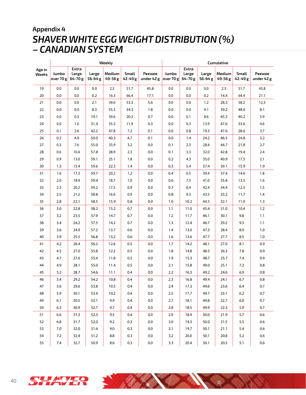# **Appendix 4** *SHAVER WHITE EGG WEIGHT DISTRIBUTION (%) – CANADIAN SYSTEM*

|                 | Weekly             |                            |                   |                  |                     |                      | Cumulative           |                            |                     |                    |                 |                      |  |
|-----------------|--------------------|----------------------------|-------------------|------------------|---------------------|----------------------|----------------------|----------------------------|---------------------|--------------------|-----------------|----------------------|--|
| Age in<br>Weeks | Jumbo<br>over 70 g | Extra<br>Large<br>$64-70g$ | Large<br>$56-64g$ | Medium<br>49-56g | Small<br>$42 - 49g$ | Peewee<br>under 42 g | Jumbo<br>over 70 $g$ | Extra<br>Large<br>$64-70g$ | Large<br>$56 - 64g$ | Medium<br>$49-56g$ | Small<br>42-49g | Peewee<br>under 42 g |  |
| 19              | 0.0                | 0.0                        | 0.0               | 2.5              | 51.7                | 45.8                 | 0.0                  | 0.0                        | 0.0                 | 2.5                | 51.7            | 45.8                 |  |
| 20              | 0.0                | 0.0                        | 0.2               | 16.3             | 66.4                | 17.1                 | 0.0                  | 0.0                        | 0.2                 | 14.4               | 64.4            | 21.1                 |  |
| 21              | 0.0                | 0.0                        | 2.1               | 39.0             | 53.3                | 5.6                  | 0.0                  | $0.0\,$                    | 1.2                 | 28.3               | 58.2            | 12.3                 |  |
| 22              | 0.0                | 0.0                        | 8.3               | 55.5             | 34.3                | 1.8                  | 0.0                  | 0.0                        | 4.1                 | 39.2               | 48.6            | 8.1                  |  |
| 23              | 0.0                | 0.3                        | 19.1              | 59.6             | 20.3                | 0.7                  | 0.0                  | 0.1                        | 8.6                 | 45.3               | 40.2            | 5.9                  |  |
| 24              | 0.0                | 1.0                        | 31.4              | 55.3             | 11.9                | 0.3                  | 0.0                  | 0.3                        | 13.9                | 47.6               | 33.6            | $4.6\,$              |  |
| 25              | 0.1                | 2.6                        | 42.2              | 47.8             | 7.2                 | 0.1                  | 0.0                  | 0.8                        | 19.3                | 47.6               | 28.6            | 3.7                  |  |
| 26              | 0.2                | 4.9                        | 50.0              | 40.3             | 4.7                 | 0.1                  | 0.0                  | 1.4                        | 24.2                | 46.5               | 24.8            | 3.2                  |  |
| 27              | 0.3                | 7.6                        | 55.0              | 33.9             | 3.2                 | 0.0                  | 0.1                  | 2.3                        | 28.4                | 44.7               | 21.8            | 2.7                  |  |
| 28              | 0.6                | 10.4                       | 57.8              | 28.9             | 2.3                 | 0.0                  | 0.1                  | 3.3                        | 32.0                | 42.8               | 19.4            | 2.4                  |  |
| 29              | 0.9                | 13.0                       | 59.1              | 25.1             | 1.8                 | 0.0                  | 0.2                  | 4.3                        | 35.0                | 40.9               | 17.5            | 2.1                  |  |
| 30              | 1.3                | 15.4                       | 59.6              | 22.3             | 1.4                 | 0.0                  | 0.3                  | 5.4                        | 37.4                | 39.1               | 15.9            | 1.9                  |  |
| 31              | 1.6                | 17.3                       | 59.7              | 20.2             | 1.2                 | 0.0                  | 0.4                  | 6.5                        | 39.4                | 37.4               | 14.6            | 1.8                  |  |
| 32              | 2.0                | 18.9                       | 59.4              | 18.7             | 1.0                 | 0.0                  | 0.6                  | 7.5                        | 41.0                | 35.8               | 13.5            | 1.6                  |  |
| 33              | 2.3                | 20.2                       | 59.2              | 17.5             | 0.9                 | 0.0                  | 0.7                  | 8.4                        | 42.4                | 34.4               | 12.5            | 1.5                  |  |
| 34              | 2.5                | 21.2                       | 58.8              | 16.6             | 0.9                 | 0.0                  | 0.8                  | 9.3                        | 43.5                | 33.2               | 11.7            | 1.4                  |  |
| 35              | 2.8                | 22.1                       | 58.5              | 15.9             | 0.8                 | 0.0                  | 1.0                  | 10.2                       | 44.5                | 32.1               | 11.0            | 1.3                  |  |
| 36              | 3.0                | 22.8                       | 58.2              | 15.2             | 0.7                 | 0.0                  | 1.1                  | 11.0                       | 45.4                | 31.0               | 10.4            | 1.2                  |  |
| 37              | 3.2                | 23.5                       | 57.9              | 14.7             | 0.7                 | 0.0                  | 1.2                  | 11.7                       | 46.1                | 30.1               | 9.8             | 1.1                  |  |
| 38              | 3.4                | 24.2                       | 57.5              | 14.2             | 0.7                 | 0.0                  | 1.3                  | 12.4                       | 46.7                | 29.2               | 9.3             | 1.1                  |  |
| 39              | 3.6                | 24.9                       | 57.2              | 13.7             | 0.6                 | 0.0                  | 1.4                  | 13.0                       | 47.3                | 28.4               | 8.9             | 1.0                  |  |
| 40              | 3.9                | 25.5                       | 56.8              | 13.2             | 0.6                 | 0.0                  | 1.6                  | 13.6                       | 47.7                | 27.7               | 8.5             | $1.0$                |  |
| 41              | 4.2                | 26.4                       | 56.2              | 12.6             | 0.5                 | 0.0                  | 1.7                  | 14.2                       | 48.1                | 27.0               | 8.1             | 0.9                  |  |
| 42              | 4.5                | 27.0                       | 55.8              | 12.2             | 0.5                 | 0.0                  | 1.8                  | 14.8                       | 48.5                | 26.3               | 7.8             | 0.9                  |  |
| 43              | 4.7                | 27.6                       | 55.4              | 11.8             | 0.5                 | 0.0                  | 1.9                  | 15.3                       | 48.7                | 25.7               | 7.4             | 0.9                  |  |
| 44              | 4.9                | 28.1                       | 55.0              | 11.4             | $0.5\,$             | 0.0                  | 2.1                  | 15.8                       | 49.0                | 25.1               | 7.2             | 0.8                  |  |
| 45              | 5.2                | 28.7                       | 54.6              | 11.1             | 0.4                 | 0.0                  | 2.2                  | 16.3                       | 49.2                | 24.6               | 6.9             | 0.8                  |  |
| 46              | 5.4                | 29.2                       | 54.2              | 10.8             | 0.4                 | $0.0\,$              | 2.3                  | 16.8                       | 49.4                | 24.1               | 6.7             | 0.8                  |  |
| 47              | 5.6                | 29.6                       | 53.8              | 10.5             | 0.4                 | $0.0\,$              | $2.4$                | 17.3                       | 49.6                | 23.6               | 6.4             | 0.7                  |  |
| 48              | 5.9                | 30.1                       | 53.4              | 10.2             | 0.4                 | $0.0\,$              | 2.5                  | 17.7                       | 49.7                | 23.1               | 6.2             | $0.7\,$              |  |
| 49              | 6.1                | 30.5                       | 53.1              | 9.9              | 0.4                 | 0.0                  | 2.7                  | 18.1                       | 49.8                | 22.7               | 6.0             | 0.7                  |  |
| 50              | 6.3                | 30.9                       | 52.7              | 9.7              | 0.4                 | 0.0                  | 2.8                  | 18.5                       | 49.9                | 22.3               | 5.9             | 0.7                  |  |
| 51              | 6.6                | 31.3                       | 52.3              | 9.5              | 0.4                 | 0.0                  | 2.9                  | 18.9                       | 50.0                | 21.9               | 5.7             | 0.6                  |  |
| 52              | 6.8                | 31.7                       | 52.0              | 9.2              | 0.3                 | 0.0                  | 3.0                  | 19.3                       | 50.0                | 21.5               | 5.5             | 0.6                  |  |
| 53              | 7.0                | 32.0                       | 51.6              | 9.0              | 0.3                 | $0.0\,$              | 3.1                  | 19.7                       | 50.1                | 21.1               | $5.4$           | 0.6                  |  |
| 54              | 7.2                | 32.4                       | 51.2              | $8.8\,$          | 0.3                 | $0.0\,$              | 3.2                  | 20.0                       | 50.1                | 20.8               | 5.2             | 0.6                  |  |
| 55              | 7.4                | 32.7                       | 50.9              | 8.6              | 0.3                 | $0.0\,$              | 3.3                  | 20.4                       | 50.1                | 20.5               | 5.1             | 0.6                  |  |

**READ** 

**Read** 

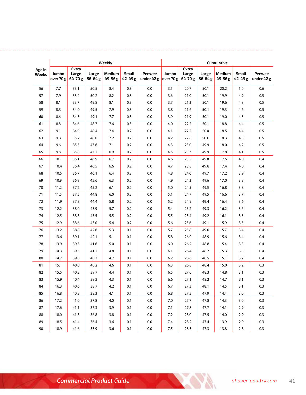|                 | Weekly               |                              |                     |                  |                 |                             |                      | Cumulative                   |                     |                         |                 |                      |  |  |
|-----------------|----------------------|------------------------------|---------------------|------------------|-----------------|-----------------------------|----------------------|------------------------------|---------------------|-------------------------|-----------------|----------------------|--|--|
| Age in<br>Weeks | Jumbo<br>over 70 $g$ | Extra<br>Large<br>$64 - 70g$ | Large<br>$56 - 64g$ | Medium<br>49-56g | Small<br>42-49g | <b>Peewee</b><br>under 42 g | Jumbo<br>over 70 $g$ | Extra<br>Large<br>$64 - 70g$ | Large<br>$56 - 64g$ | <b>Medium</b><br>49-56g | Small<br>42-49g | Peewee<br>under 42 g |  |  |
| 56              | 7.7                  | 33.1                         | 50.5                | 8.4              | 0.3             | 0.0                         | 3.5                  | 20.7                         | 50.1                | 20.2                    | 5.0             | 0.6                  |  |  |
| 57              | 7.9                  | 33.4                         | 50.2                | 8.2              | 0.3             | 0.0                         | 3.6                  | 21.0                         | 50.1                | 19.9                    | 4.9             | 0.5                  |  |  |
| 58              | 8.1                  | 33.7                         | 49.8                | 8.1              | 0.3             | 0.0                         | 3.7                  | 21.3                         | 50.1                | 19.6                    | 4.8             | 0.5                  |  |  |
| 59              | 8.3                  | 34.0                         | 49.5                | 7.9              | 0.3             | 0.0                         | 3.8                  | 21.6                         | 50.1                | 19.3                    | 4.6             | 0.5                  |  |  |
| 60              | 8.6                  | 34.3                         | 49.1                | 7.7              | 0.3             | 0.0                         | 3.9                  | 21.9                         | 50.1                | 19.0                    | 4.5             | 0.5                  |  |  |
| 61              | 8.8                  | 34.6                         | 48.7                | 7.6              | 0.3             | 0.0                         | 4.0                  | 22.2                         | 50.1                | 18.8                    | 4.4             | 0.5                  |  |  |
| 62              | 9.1                  | 34.9                         | 48.4                | 7.4              | 0.2             | 0.0                         | 4.1                  | 22.5                         | 50.0                | 18.5                    | 4.4             | 0.5                  |  |  |
| 63              | 9.3                  | 35.2                         | 48.0                | 7.2              | 0.2             | 0.0                         | 4.2                  | 22.8                         | 50.0                | 18.3                    | 4.3             | 0.5                  |  |  |
| 64              | 9.6                  | 35.5                         | 47.6                | 7.1              | 0.2             | 0.0                         | 4.3                  | 23.0                         | 49.9                | 18.0                    | 4.2             | 0.5                  |  |  |
| 65              | 9.8                  | 35.8                         | 47.2                | 6.9              | 0.2             | 0.0                         | 4.5                  | 23.3                         | 49.9                | 17.8                    | 4.1             | 0.5                  |  |  |
| 66              | 10.1                 | 36.1                         | 46.9                | 6.7              | 0.2             | 0.0                         | 4.6                  | 23.5                         | 49.8                | 17.6                    | 4.0             | 0.4                  |  |  |
| 67              | 10.4                 | 36.4                         | 46.5                | 6.6              | 0.2             | 0.0                         | 4.7                  | 23.8                         | 49.8                | 17.4                    | 4.0             | 0.4                  |  |  |
| 68              | 10.6                 | 36.7                         | 46.1                | 6.4              | 0.2             | 0.0                         | 4.8                  | 24.0                         | 49.7                | 17.2                    | 3.9             | 0.4                  |  |  |
| 69              | 10.9                 | 36.9                         | 45.6                | 6.3              | 0.2             | 0.0                         | 4.9                  | 24.3                         | 49.6                | 17.0                    | 3.8             | 0.4                  |  |  |
| 70              | 11.2                 | 37.2                         | 45.2                | 6.1              | 0.2             | 0.0                         | 5.0                  | 24.5                         | 49.5                | 16.8                    | 3.8             | 0.4                  |  |  |
| 71              | 11.5                 | 37.5                         | 44.8                | 6.0              | 0.2             | 0.0                         | 5.1                  | 24.7                         | 49.5                | 16.6                    | 3.7             | 0.4                  |  |  |
| 72              | 11.9                 | 37.8                         | 44.4                | 5.8              | 0.2             | 0.0                         | 5.2                  | 24.9                         | 49.4                | 16.4                    | 3.6             | 0.4                  |  |  |
| 73              | 12.2                 | 38.0                         | 43.9                | 5.7              | 0.2             | 0.0                         | 5.4                  | 25.2                         | 49.3                | 16.2                    | 3.6             | 0.4                  |  |  |
| 74              | 12.5                 | 38.3                         | 43.5                | 5.5              | 0.2             | 0.0                         | 5.5                  | 25.4                         | 49.2                | 16.1                    | 3.5             | 0.4                  |  |  |
| 75              | 12.9                 | 38.6                         | 43.0                | 5.4              | 0.2             | 0.0                         | 5.6                  | 25.6                         | 49.1                | 15.9                    | 3.5             | 0.4                  |  |  |
| 76              | 13.2                 | 38.8                         | 42.6                | 5.3              | 0.1             | 0.0                         | 5.7                  | 25.8                         | 49.0                | 15.7                    | 3.4             | 0.4                  |  |  |
| 77              | 13.6                 | 39.1                         | 42.1                | 5.1              | 0.1             | 0.0                         | 5.8                  | 26.0                         | 48.9                | 15.6                    | 3.4             | 0.4                  |  |  |
| 78              | 13.9                 | 39.3                         | 41.6                | 5.0              | 0.1             | 0.0                         | 6.0                  | 26.2                         | 48.8                | 15.4                    | 3.3             | 0.4                  |  |  |
| 79              | 14.3                 | 39.5                         | 41.2                | 4.8              | 0.1             | 0.0                         | 6.1                  | 26.4                         | 48.7                | 15.3                    | 3.3             | 0.4                  |  |  |
| 80              | 14.7                 | 39.8                         | 40.7                | 4.7              | 0.1             | 0.0                         | 6.2                  | 26.6                         | 48.5                | 15.1                    | 3.2             | 0.4                  |  |  |
| 81              | 15.1                 | 40.0                         | 40.2                | 4.6              | 0.1             | 0.0                         | 6.3                  | 26.8                         | 48.4                | 15.0                    | 3.2             | 0.3                  |  |  |
| 82              | 15.5                 | 40.2                         | 39.7                | 4.4              | 0.1             | 0.0                         | 6.5                  | 27.0                         | 48.3                | 14.8                    | 3.1             | 0.3                  |  |  |
| 83              | 15.9                 | 40.4                         | 39.2                | 4.3              | 0.1             | $0.0\,$                     | 6.6                  | 27.1                         | 48.2                | 14.7                    | 3.1             | 0.3                  |  |  |
| 84              | 16.3                 | 40.6                         | 38.7                | 4.2              | 0.1             | $0.0\,$                     | 6.7                  | 27.3                         | 48.1                | 14.5                    | 3.1             | 0.3                  |  |  |
| 85              | 16.8                 | 40.8                         | 38.3                | 4.1              | 0.1             | 0.0                         | 6.8                  | 27.5                         | 47.9                | 14.4                    | 3.0             | 0.3                  |  |  |
| 86              | 17.2                 | 41.0                         | 37.8                | $4.0\,$          | 0.1             | $0.0\,$                     | 7.0                  | 27.7                         | 47.8                | 14.3                    | 3.0             | 0.3                  |  |  |
| 87              | 17.6                 | 41.1                         | 37.3                | 3.9              | 0.1             | $0.0\,$                     | 7.1                  | 27.8                         | 47.7                | 14.1                    | 2.9             | 0.3                  |  |  |
| 88              | 18.0                 | 41.3                         | 36.8                | 3.8              | 0.1             | 0.0                         | 7.2                  | 28.0                         | 47.5                | 14.0                    | 2.9             | 0.3                  |  |  |
| 89              | 18.5                 | 41.4                         | 36.4                | 3.6              | 0.1             | $0.0\,$                     | 7.4                  | 28.2                         | 47.4                | 13.9                    | 2.9             | 0.3                  |  |  |
| 90              | 18.9                 | 41.6                         | 35.9                | 3.6              | 0.1             | $0.0\,$                     | 7.5                  | 28.3                         | 47.3                | 13.8                    | $2.8\,$         | 0.3                  |  |  |

**STATISTICS**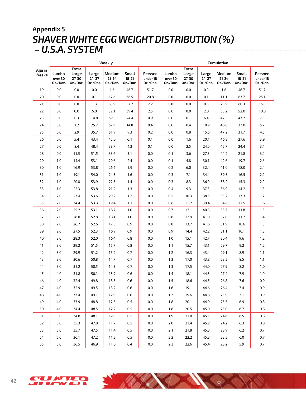# **Appendix 5** *SHAVER WHITE EGG WEIGHT DISTRIBUTION (%) – U.S.A. SYSTEM*

|                 |                              | Weekly                                  |                            |                                 |                                |                                |                              | Cumulative                          |                                |                                 |                                |                                |  |  |
|-----------------|------------------------------|-----------------------------------------|----------------------------|---------------------------------|--------------------------------|--------------------------------|------------------------------|-------------------------------------|--------------------------------|---------------------------------|--------------------------------|--------------------------------|--|--|
| Age in<br>Weeks | Jumbo<br>over 30<br>Oz./Doz. | Extra<br>Large<br>$27 - 30$<br>Oz./Doz. | Large<br>24-27<br>Oz./Doz. | Medium<br>$21 - 24$<br>Oz./Doz. | Small<br>$18 - 21$<br>Oz./Doz. | Peewee<br>under 18<br>Oz./Doz. | Jumbo<br>over 30<br>Oz./Doz. | Extra<br>Large<br>27-30<br>Oz./Doz. | Large<br>$24 - 27$<br>Oz./Doz. | Medium<br>$21 - 24$<br>Oz./Doz. | Small<br>$18 - 21$<br>Oz./Doz. | Peewee<br>under 18<br>Oz./Doz. |  |  |
| 19              | 0.0                          | 0.0                                     | 0.0                        | 1.6                             | 46.7                           | 51.7                           | 0.0                          | 0.0                                 | 0.0                            | 1.6                             | 46.7                           | 51.7                           |  |  |
| 20              | 0.0                          | 0.0                                     | 0.1                        | 12.6                            | 66.5                           | 20.8                           | 0.0                          | 0.0                                 | 0.1                            | 11.1                            | 63.7                           | 25.1                           |  |  |
| 21              | 0.0                          | 0.0                                     | 1.3                        | 33.9                            | 57.7                           | 7.2                            | 0.0                          | 0.0                                 | 0.8                            | 23.9                            | 60.3                           | 15.0                           |  |  |
| 22              | 0.0                          | 0.0                                     | $6.0\,$                    | 52.1                            | 39.4                           | 2.5                            | 0.0                          | 0.0                                 | 2.8                            | 35.2                            | 52.0                           | 10.0                           |  |  |
| 23              | 0.0                          | 0.3                                     | 14.8                       | 59.5                            | 24.4                           | 0.9                            | 0.0                          | 0.1                                 | 6.4                            | 42.5                            | 43.7                           | 7.3                            |  |  |
| 24              | 0.0                          | 1.2                                     | 25.7                       | 57.9                            | 14.8                           | 0.4                            | 0.0                          | 0.4                                 | 10.9                           | 46.0                            | 37.0                           | 5.7                            |  |  |
| 25              | 0.0                          | 2.9                                     | 35.7                       | 51.9                            | 9.3                            | 0.2                            | 0.0                          | 0.8                                 | 15.6                           | 47.2                            | 31.7                           | 4.6                            |  |  |
| 26              | 0.0                          | 5.4                                     | 43.4                       | 45.0                            | 6.1                            | 0.1                            | 0.0                          | 1.6                                 | 20.1                           | 46.8                            | 27.6                           | 3.9                            |  |  |
| 27              | 0.0                          | 8.4                                     | 48.4                       | 38.7                            | 4.2                            | 0.1                            | 0.0                          | 2.5                                 | 24.0                           | 45.7                            | 24.4                           | 3.4                            |  |  |
| 28              | 0.0                          | 11.5                                    | 51.5                       | 33.6                            | 3.1                            | 0.0                            | 0.1                          | 3.6                                 | 27.3                           | 44.2                            | 21.8                           | 3.0                            |  |  |
| 29              | 1.0                          | 14.4                                    | 53.1                       | 29.6                            | $2.4$                          | 0.0                            | 0.1                          | 4.8                                 | 30.1                           | 42.6                            | 19.7                           | $2.6\,$                        |  |  |
| 30              | 1.0                          | 16.9                                    | 53.8                       | 26.6                            | 1.9                            | 0.0                            | 0.2                          | 6.0                                 | 32.4                           | 41.0                            | 18.0                           | 2.4                            |  |  |
| 31              | 1.0                          | 19.1                                    | 54.0                       | 24.3                            | 1.6                            | 0.0                            | 0.3                          | 7.1                                 | 34.4                           | 39.5                            | 16.5                           | 2.2                            |  |  |
| 32              | 1.0                          | 20.8                                    | 53.9                       | 22.5                            | 1.4                            | $0.0\,$                        | 0.3                          | 8.3                                 | 36.0                           | 38.2                            | 15.3                           | $2.0\,$                        |  |  |
| 33              | 1.0                          | 22.3                                    | 53.8                       | 21.2                            | 1.3                            | 0.0                            | 0.4                          | 9.3                                 | 37.3                           | 36.9                            | 14.2                           | 1.8                            |  |  |
| 34              | 2.0                          | 23.4                                    | 53.6                       | 20.2                            | 1.2                            | 0.0                            | 0.5                          | 10.3                                | 38.5                           | 35.7                            | 13.3                           | 1.7                            |  |  |
| 35              | 2.0                          | 24.4                                    | 53.3                       | 19.4                            | 1.1                            | 0.0                            | 0.6                          | 11.2                                | 39.4                           | 34.6                            | 12.5                           | 1.6                            |  |  |
| 36              | 2.0                          | 25.2                                    | 53.1                       | 18.7                            | 1.0                            | 0.0                            | 0.7                          | 12.1                                | 40.3                           | 33.7                            | 11.8                           | 1.5                            |  |  |
| 37              | 2.0                          | 26.0                                    | 52.8                       | 18.1                            | 1.0                            | 0.0                            | 0.8                          | 12.9                                | 41.0                           | 32.8                            | 11.2                           | $1.4$                          |  |  |
| 38              | 2.0                          | 26.7                                    | 52.6                       | 17.5                            | 0.9                            | $0.0\,$                        | 0.8                          | 13.7                                | 41.6                           | 31.9                            | 10.6                           | 1.3                            |  |  |
| 39              | 2.0                          | 27.5                                    | 52.3                       | 16.9                            | 0.9                            | 0.0                            | 0.9                          | 14.4                                | 42.2                           | 31.1                            | 10.1                           | 1.3                            |  |  |
| 40              | 3.0                          | 28.3                                    | 52.0                       | 16.4                            | 0.8                            | 0.0                            | 1.0                          | 15.1                                | 42.7                           | 30.4                            | 9.6                            | 1.2                            |  |  |
| 41              | 3.0                          | 29.2                                    | 51.5                       | 15.7                            | 0.8                            | 0.0                            | 1.1                          | 15.7                                | 43.1                           | 29.7                            | 9.2                            | 1.2                            |  |  |
| 42              | 3.0                          | 29.9                                    | 51.2                       | 15.2                            | 0.7                            | 0.0                            | 1.2                          | 16.3                                | 43.4                           | 29.1                            | 8.9                            | 1.1                            |  |  |
| 43              | 3.0                          | 30.6                                    | 50.8                       | 14.7                            | 0.7                            | 0.0                            | 1.3                          | 17.0                                | 43.8                           | 28.5                            | 8.5                            | 1.1                            |  |  |
| 44              | 3.0                          | 31.2                                    | 50.5                       | 14.3                            | 0.7                            | 0.0                            | 1.3                          | 17.5                                | 44.0                           | 27.9                            | 8.2                            | $1.0$                          |  |  |
| 45              | 4.0                          | 31.8                                    | 50.1                       | 13.9                            | 0.6                            | 0.0                            | $1.4$                        | 18.1                                | 44.3                           | 27.4                            | 7.9                            | 1.0                            |  |  |
| 46              | 4.0                          | 32.4                                    | 49.8                       | 13.5                            | 0.6                            | $0.0\,$                        | 1.5                          | 18.6                                | 44.5                           | 26.8                            | 7.6                            | 0.9                            |  |  |
| 47              | 4.0                          | 32.9                                    | 49.5                       | 13.2                            | 0.6                            | 0.0                            | 1.6                          | 19.1                                | 44.6                           | 26.4                            | 7.4                            | 0.9                            |  |  |
| 48              | 4.0                          | 33.4                                    | 49.1                       | 12.9                            | 0.6                            | $0.0\,$                        | 1.7                          | 19.6                                | 44.8                           | 25.9                            | 7.1                            | 0.9                            |  |  |
| 49              | 4.0                          | 33.9                                    | 48.8                       | 12.5                            | 0.5                            | 0.0                            | 1.8                          | 20.1                                | 44.9                           | 25.5                            | 6.9                            | 0.8                            |  |  |
| 50              | 4.0                          | 34.4                                    | 48.5                       | 12.2                            | 0.5                            | 0.0                            | 1.8                          | 20.5                                | 45.0                           | 25.0                            | 6.7                            | 0.8                            |  |  |
| 51              | 5.0                          | 34.8                                    | 48.1                       | 12.0                            | 0.5                            | 0.0                            | 1.9                          | 21.0                                | 45.1                           | 24.6                            | 6.5                            | 0.8                            |  |  |
| 52              | 5.0                          | 35.3                                    | 47.8                       | 11.7                            | $0.5\,$                        | $0.0\,$                        | 2.0                          | 21.4                                | 45.2                           | 24.2                            | 6.3                            | 0.8                            |  |  |
| 53              | 5.0                          | 35.7                                    | 47.5                       | 11.4                            | $0.5\,$                        | $0.0\,$                        | 2.1                          | 21.8                                | 45.3                           | 23.9                            | 6.2                            | 0.7                            |  |  |
| 54              | $5.0\,$                      | 36.1                                    | 47.2                       | 11.2                            | 0.5                            | $0.0\,$                        | 2.2                          | 22.2                                | 45.3                           | 23.5                            | 6.0                            | 0.7                            |  |  |
| 55              | $5.0\,$                      | 36.5                                    | 46.9                       | 11.0                            | 0.4                            | $0.0\,$                        | 2.3                          | 22.6                                | 45.4                           | 23.2                            | 5.9                            | 0.7                            |  |  |

**RACE** 

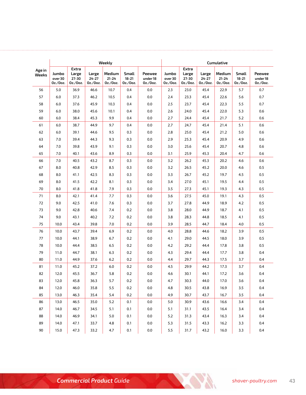|                 |                              |                                     |                                | Weekly                          |                                |                                       |                              |                                     | Cumulative                     |                                 |                                |                                       |
|-----------------|------------------------------|-------------------------------------|--------------------------------|---------------------------------|--------------------------------|---------------------------------------|------------------------------|-------------------------------------|--------------------------------|---------------------------------|--------------------------------|---------------------------------------|
| Age in<br>Weeks | Jumbo<br>over 30<br>Oz./Doz. | Extra<br>Large<br>27-30<br>Oz./Doz. | Large<br>$24 - 27$<br>Oz./Doz. | Medium<br>$21 - 24$<br>Oz./Doz. | Small<br>$18 - 21$<br>Oz./Doz. | <b>Peewee</b><br>under 18<br>Oz./Doz. | Jumbo<br>over 30<br>Oz./Doz. | Extra<br>Large<br>27-30<br>Oz./Doz. | Large<br>$24 - 27$<br>Oz./Doz. | Medium<br>$21 - 24$<br>Oz./Doz. | Small<br>$18 - 21$<br>Oz./Doz. | <b>Peewee</b><br>under 18<br>Oz./Doz. |
| 56              | 5.0                          | 36.9                                | 46.6                           | 10.7                            | 0.4                            | 0.0                                   | 2.3                          | 23.0                                | 45.4                           | 22.9                            | 5.7                            | 0.7                                   |
| 57              | 6.0                          | 37.3                                | 46.2                           | 10.5                            | 0.4                            | 0.0                                   | 2.4                          | 23.3                                | 45.4                           | 22.6                            | 5.6                            | 0.7                                   |
| 58              | 6.0                          | 37.6                                | 45.9                           | 10.3                            | 0.4                            | 0.0                                   | 2.5                          | 23.7                                | 45.4                           | 22.3                            | 5.5                            | 0.7                                   |
| 59              | 6.0                          | 38.0                                | 45.6                           | 10.1                            | 0.4                            | $0.0\,$                               | 2.6                          | 24.0                                | 45.4                           | 22.0                            | 5.3                            | 0.6                                   |
| 60              | 6.0                          | 38.4                                | 45.3                           | 9.9                             | 0.4                            | 0.0                                   | 2.7                          | 24.4                                | 45.4                           | 21.7                            | 5.2                            | 0.6                                   |
| 61              | 6.0                          | 38.7                                | 44.9                           | 9.7                             | 0.4                            | 0.0                                   | 2.7                          | 24.7                                | 45.4                           | 21.4                            | 5.1                            | 0.6                                   |
| 62              | 6.0                          | 39.1                                | 44.6                           | 9.5                             | 0.3                            | 0.0                                   | 2.8                          | 25.0                                | 45.4                           | 21.2                            | 5.0                            | 0.6                                   |
| 63              | 7.0                          | 39.4                                | 44.3                           | 9.3                             | 0.3                            | 0.0                                   | 2.9                          | 25.3                                | 45.4                           | 20.9                            | 4.9                            | 0.6                                   |
| 64              | 7.0                          | 39.8                                | 43.9                           | 9.1                             | 0.3                            | 0.0                                   | 3.0                          | 25.6                                | 45.4                           | 20.7                            | 4.8                            | 0.6                                   |
| 65              | 7.0                          | 40.1                                | 43.6                           | 8.9                             | 0.3                            | 0.0                                   | 3.1                          | 25.9                                | 45.3                           | 20.4                            | 4.7                            | 0.6                                   |
| 66              | 7.0                          | 40.5                                | 43.2                           | 8.7                             | 0.3                            | 0.0                                   | 3.2                          | 26.2                                | 45.3                           | 20.2                            | 4.6                            | 0.6                                   |
| 67              | 8.0                          | 40.8                                | 42.9                           | 8.5                             | 0.3                            | 0.0                                   | 3.2                          | 26.5                                | 45.2                           | 20.0                            | 4.6                            | 0.5                                   |
| 68              | 8.0                          | 41.1                                | 42.5                           | 8.3                             | 0.3                            | 0.0                                   | 3.3                          | 26.7                                | 45.2                           | 19.7                            | 4.5                            | 0.5                                   |
| 69              | 8.0                          | 41.5                                | 42.2                           | 8.1                             | 0.3                            | 0.0                                   | 3.4                          | 27.0                                | 45.1                           | 19.5                            | 4.4                            | 0.5                                   |
| 70              | 8.0                          | 41.8                                | 41.8                           | 7.9                             | 0.3                            | 0.0                                   | 3.5                          | 27.3                                | 45.1                           | 19.3                            | 4.3                            | 0.5                                   |
| 71              | 8.0                          | 42.1                                | 41.4                           | 7.7                             | 0.3                            | $0.0\,$                               | 3.6                          | 27.5                                | 45.0                           | 19.1                            | 4.3                            | 0.5                                   |
| 72              | 9.0                          | 42.5                                | 41.0                           | 7.6                             | 0.3                            | $0.0\,$                               | 3.7                          | 27.8                                | 44.9                           | 18.9                            | 4.2                            | 0.5                                   |
| 73              | 9.0                          | 42.8                                | 40.6                           | 7.4                             | 0.2                            | 0.0                                   | 3.8                          | 28.0                                | 44.9                           | 18.7                            | 4.1                            | 0.5                                   |
| 74              | 9.0                          | 43.1                                | 40.2                           | 7.2                             | 0.2                            | 0.0                                   | 3.8                          | 28.3                                | 44.8                           | 18.5                            | 4.1                            | 0.5                                   |
| 75              | 10.0                         | 43.4                                | 39.8                           | 7.0                             | 0.2                            | 0.0                                   | 3.9                          | 28.5                                | 44.7                           | 18.4                            | 4.0                            | 0.5                                   |
| 76              | 10.0                         | 43.7                                | 39.4                           | 6.9                             | 0.2                            | $0.0\,$                               | 4.0                          | 28.8                                | 44.6                           | 18.2                            | 3.9                            | 0.5                                   |
| 77              | 10.0                         | 44.1                                | 38.9                           | 6.7                             | 0.2                            | 0.0                                   | 4.1                          | 29.0                                | 44.5                           | 18.0                            | 3.9                            | 0.5                                   |
| 78              | 10.0                         | 44.4                                | 38.5                           | 6.5                             | 0.2                            | 0.0                                   | 4.2                          | 29.2                                | 44.4                           | 17.8                            | 3.8                            | 0.5                                   |
| 79              | 11.0                         | 44.7                                | 38.1                           | 6.3                             | 0.2                            | 0.0                                   | 4.3                          | 29.4                                | 44.4                           | 17.7                            | 3.8                            | 0.4                                   |
| 80              | 11.0                         | 44.9                                | 37.6                           | 6.2                             | 0.2                            | 0.0                                   | 4.4                          | 29.7                                | 44.3                           | 17.5                            | 3.7                            | 0.4                                   |
| 81              | 11.0                         | 45.2                                | 37.2                           | 6.0                             | 0.2                            | 0.0                                   | 4.5                          | 29.9                                | 44.2                           | 17.3                            | 3.7                            | 0.4                                   |
| 82              | 12.0                         | 45.5                                | 36.7                           | 5.8                             | 0.2                            | 0.0                                   | 4.6                          | 30.1                                | 44.1                           | 17.2                            | 3.6                            | 0.4                                   |
| 83              | 12.0                         | 45.8                                | 36.3                           | 5.7                             | 0.2                            | $0.0\,$                               | 4.7                          | 30.3                                | 44.0                           | 17.0                            | 3.6                            | 0.4                                   |
| 84              | 12.0                         | 46.0                                | 35.8                           | 5.5                             | 0.2                            | 0.0                                   | 4.8                          | 30.5                                | 43.8                           | 16.9                            | 3.5                            | 0.4                                   |
| 85              | 13.0                         | 46.3                                | 35.4                           | 5.4                             | 0.2                            | 0.0                                   | 4.9                          | 30.7                                | 43.7                           | 16.7                            | 3.5                            | 0.4                                   |
| 86              | 13.0                         | 46.5                                | 35.0                           | 5.2                             | 0.1                            | 0.0                                   | 5.0                          | 30.9                                | 43.6                           | 16.6                            | 3.4                            | 0.4                                   |
| 87              | 14.0                         | 46.7                                | 34.5                           | 5.1                             | 0.1                            | 0.0                                   | 5.1                          | 31.1                                | 43.5                           | 16.4                            | 3.4                            | 0.4                                   |
| 88              | 14.0                         | 46.9                                | 34.1                           | 5.0                             | 0.1                            | $0.0\,$                               | 5.2                          | 31.3                                | 43.4                           | 16.3                            | 3.4                            | 0.4                                   |
| 89              | 14.0                         | 47.1                                | 33.7                           | 4.8                             | 0.1                            | $0.0\,$                               | 5.3                          | 31.5                                | 43.3                           | 16.2                            | 3.3                            | 0.4                                   |
| 90              | 15.0                         | 47.3                                | 33.2                           | 4.7                             | $0.1\,$                        | $0.0\,$                               | $5.5\,$                      | 31.7                                | 43.2                           | 16.0                            | 3.3                            | 0.4                                   |

k.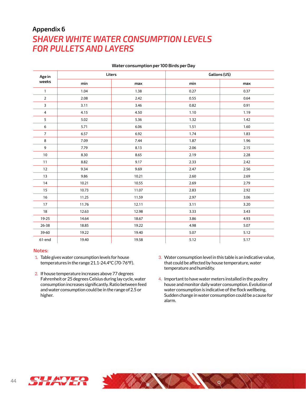# **Appendix 6** *SHAVER WHITE WATER CONSUMPTION LEVELS FOR PULLETS AND LAYERS*

| Age in         |       | Liters | Gallons (US) |      |  |  |  |
|----------------|-------|--------|--------------|------|--|--|--|
| weeks          | min   | max    | min          | max  |  |  |  |
| 1              | 1.04  | 1.38   | 0.27         | 0.37 |  |  |  |
| $\overline{2}$ | 2.08  | 2.42   | 0.55         | 0.64 |  |  |  |
| 3              | 3.11  | 3.46   | 0.82         | 0.91 |  |  |  |
| 4              | 4.15  | 4.50   | 1.10         | 1.19 |  |  |  |
| 5              | 5.02  | 5.36   | 1.32         | 1.42 |  |  |  |
| 6              | 5.71  | 6.06   | 1.51         | 1.60 |  |  |  |
| $\overline{7}$ | 6.57  | 6.92   | 1.74         | 1.83 |  |  |  |
| 8              | 7.09  | 7.44   | 1.87         | 1.96 |  |  |  |
| 9              | 7.79  | 8.13   | 2.06         | 2.15 |  |  |  |
| 10             | 8.30  | 8.65   | 2.19         | 2.28 |  |  |  |
| 11             | 8.82  | 9.17   | 2.33         | 2.42 |  |  |  |
| 12             | 9.34  | 9.69   | 2.47         | 2.56 |  |  |  |
| 13             | 9.86  | 10.21  | 2.60         | 2.69 |  |  |  |
| 14             | 10.21 | 10.55  | 2.69         | 2.79 |  |  |  |
| 15             | 10.73 | 11.07  | 2.83         | 2.92 |  |  |  |
| 16             | 11.25 | 11.59  | 2.97         | 3.06 |  |  |  |
| 17             | 11.76 | 12.11  | 3.11         | 3.20 |  |  |  |
| 18             | 12.63 | 12.98  | 3.33         | 3.43 |  |  |  |
| $19 - 25$      | 14.64 | 18.67  | 3.86         | 4.93 |  |  |  |
| 26-38          | 18.85 | 19.22  | 4.98         | 5.07 |  |  |  |
| 39-60          | 19.22 | 19.40  | 5.07         | 5.12 |  |  |  |
| 61-end         | 19.40 | 19.58  | 5.12         | 5.17 |  |  |  |

#### **Water consumption per 100 Birds per Day**

#### **Notes:**

- 1. Table gives water consumption levels for house temperatures in the range 21.1-24.4°C (70-76°F).
- 2. If house temperature increases above 77 degrees Fahrenheit or 25 degrees Celsius during lay cycle, water consumption increases significantly. Ratio between feed and water consumption could be in the range of 2.5 or higher.
- 3. Water consumption level in this table is an indicative value, that could be affected by house temperature, water temperature and humidity.
- 4. Important to have water meters installed in the poultry house and monitor daily water consumption. Evolution of water consumption is indicative of the flock wellbeing. Sudden change in water consumption could be a cause for alarm.



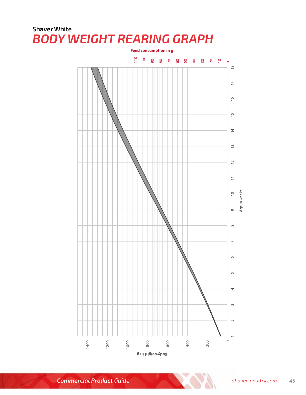# **Shaver White** *BODY WEIGHT REARING GRAPH*

**Feed consumption in g**

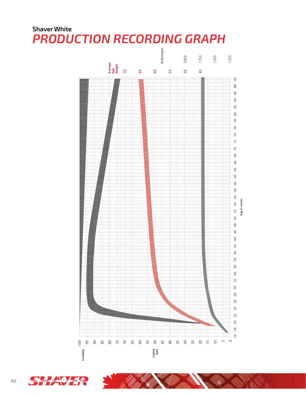# **Shaver White** *PRODUCTION RECORDING GRAPH*



 $\mathbf{Q}$ 

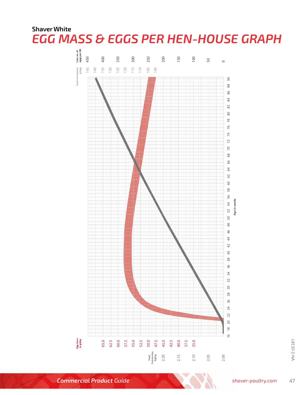# **Shaver White** *EGG MASS & EGGS PER HEN-HOUSE GRAPH*



*Commercial Product Guide shaver-poultry.com* **47**